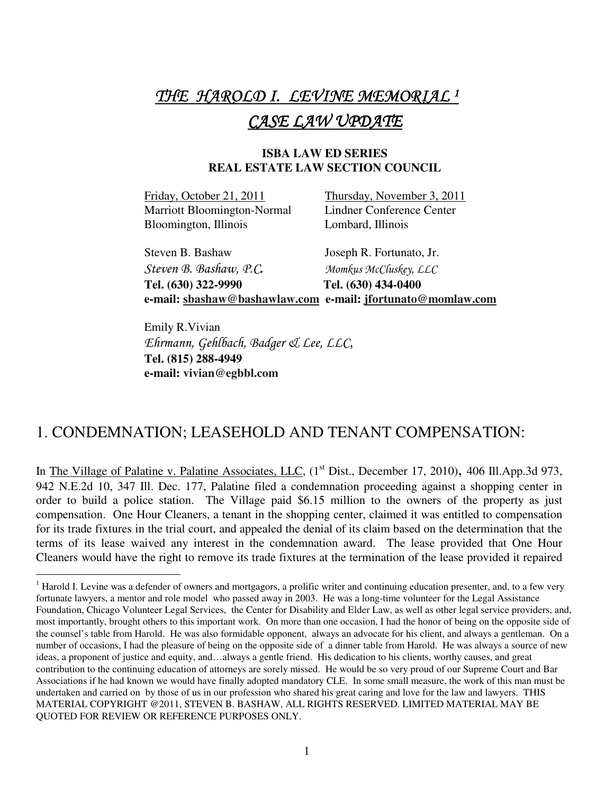# THE HAROLD I. LEVINE MEMORIAL <sup>1</sup> CASE LAW UPDATE

#### **ISBA LAW ED SERIES REAL ESTATE LAW SECTION COUNCIL**

Friday, October 21, 2011 Thursday, November 3, 2011 Marriott Bloomington-Normal Lindner Conference Center Bloomington, Illinois Lombard, Illinois

 Steven B. Bashaw Joseph R. Fortunato, Jr. Steven B. Bashaw, P.C. Momkus McCluskey, LLC **Tel. (630) 322-9990 Tel. (630) 434-0400 e-mail: sbashaw@bashawlaw.com e-mail: jfortunato@momlaw.com**

 Emily R.Vivian Ehrmann, Gehlbach, Badger & Lee, LLC, **Tel. (815) 288-4949 e-mail: vivian@egbbl.com** 

#### 1. CONDEMNATION; LEASEHOLD AND TENANT COMPENSATION:

In The Village of Palatine v. Palatine Associates, LLC, (1<sup>st</sup> Dist., December 17, 2010), 406 Ill.App.3d 973, 942 N.E.2d 10, 347 Ill. Dec. 177, Palatine filed a condemnation proceeding against a shopping center in order to build a police station. The Village paid \$6.15 million to the owners of the property as just compensation. One Hour Cleaners, a tenant in the shopping center, claimed it was entitled to compensation for its trade fixtures in the trial court, and appealed the denial of its claim based on the determination that the terms of its lease waived any interest in the condemnation award. The lease provided that One Hour Cleaners would have the right to remove its trade fixtures at the termination of the lease provided it repaired

<sup>&</sup>lt;sup>1</sup> Harold I. Levine was a defender of owners and mortgagors, a prolific writer and continuing education presenter, and, to a few very fortunate lawyers, a mentor and role model who passed away in 2003. He was a long-time volunteer for the Legal Assistance Foundation, Chicago Volunteer Legal Services, the Center for Disability and Elder Law, as well as other legal service providers, and, most importantly, brought others to this important work. On more than one occasion, I had the honor of being on the opposite side of the counsel's table from Harold. He was also formidable opponent, always an advocate for his client, and always a gentleman. On a number of occasions, I had the pleasure of being on the opposite side of a dinner table from Harold. He was always a source of new ideas, a proponent of justice and equity, and…always a gentle friend. His dedication to his clients, worthy causes, and great contribution to the continuing education of attorneys are sorely missed. He would be so very proud of our Supreme Court and Bar Associations if he had known we would have finally adopted mandatory CLE. In some small measure, the work of this man must be undertaken and carried on by those of us in our profession who shared his great caring and love for the law and lawyers. THIS MATERIAL COPYRIGHT @2011, STEVEN B. BASHAW, ALL RIGHTS RESERVED. LIMITED MATERIAL MAY BE QUOTED FOR REVIEW OR REFERENCE PURPOSES ONLY.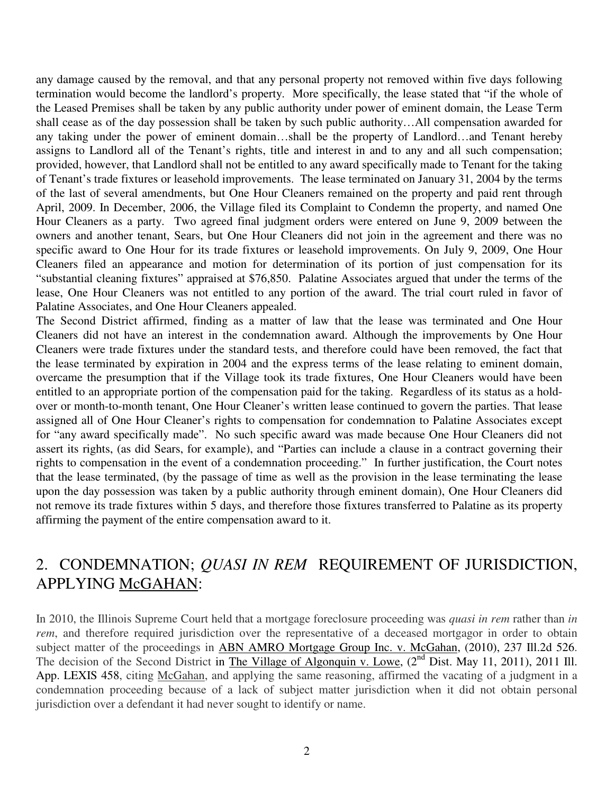any damage caused by the removal, and that any personal property not removed within five days following termination would become the landlord's property. More specifically, the lease stated that "if the whole of the Leased Premises shall be taken by any public authority under power of eminent domain, the Lease Term shall cease as of the day possession shall be taken by such public authority…All compensation awarded for any taking under the power of eminent domain…shall be the property of Landlord…and Tenant hereby assigns to Landlord all of the Tenant's rights, title and interest in and to any and all such compensation; provided, however, that Landlord shall not be entitled to any award specifically made to Tenant for the taking of Tenant's trade fixtures or leasehold improvements. The lease terminated on January 31, 2004 by the terms of the last of several amendments, but One Hour Cleaners remained on the property and paid rent through April, 2009. In December, 2006, the Village filed its Complaint to Condemn the property, and named One Hour Cleaners as a party. Two agreed final judgment orders were entered on June 9, 2009 between the owners and another tenant, Sears, but One Hour Cleaners did not join in the agreement and there was no specific award to One Hour for its trade fixtures or leasehold improvements. On July 9, 2009, One Hour Cleaners filed an appearance and motion for determination of its portion of just compensation for its "substantial cleaning fixtures" appraised at \$76,850. Palatine Associates argued that under the terms of the lease, One Hour Cleaners was not entitled to any portion of the award. The trial court ruled in favor of Palatine Associates, and One Hour Cleaners appealed.

The Second District affirmed, finding as a matter of law that the lease was terminated and One Hour Cleaners did not have an interest in the condemnation award. Although the improvements by One Hour Cleaners were trade fixtures under the standard tests, and therefore could have been removed, the fact that the lease terminated by expiration in 2004 and the express terms of the lease relating to eminent domain, overcame the presumption that if the Village took its trade fixtures, One Hour Cleaners would have been entitled to an appropriate portion of the compensation paid for the taking. Regardless of its status as a holdover or month-to-month tenant, One Hour Cleaner's written lease continued to govern the parties. That lease assigned all of One Hour Cleaner's rights to compensation for condemnation to Palatine Associates except for "any award specifically made". No such specific award was made because One Hour Cleaners did not assert its rights, (as did Sears, for example), and "Parties can include a clause in a contract governing their rights to compensation in the event of a condemnation proceeding." In further justification, the Court notes that the lease terminated, (by the passage of time as well as the provision in the lease terminating the lease upon the day possession was taken by a public authority through eminent domain), One Hour Cleaners did not remove its trade fixtures within 5 days, and therefore those fixtures transferred to Palatine as its property affirming the payment of the entire compensation award to it.

#### 2. CONDEMNATION; *QUASI IN REM* REQUIREMENT OF JURISDICTION, APPLYING McGAHAN:

In 2010, the Illinois Supreme Court held that a mortgage foreclosure proceeding was *quasi in rem* rather than *in rem*, and therefore required jurisdiction over the representative of a deceased mortgagor in order to obtain subject matter of the proceedings in ABN AMRO Mortgage Group Inc. v. McGahan, (2010), 237 Ill.2d 526. The decision of the Second District in The Village of Algonquin v. Lowe, (2<sup>nd</sup> Dist. May 11, 2011), 2011 Ill. App. LEXIS 458, citing McGahan, and applying the same reasoning, affirmed the vacating of a judgment in a condemnation proceeding because of a lack of subject matter jurisdiction when it did not obtain personal jurisdiction over a defendant it had never sought to identify or name.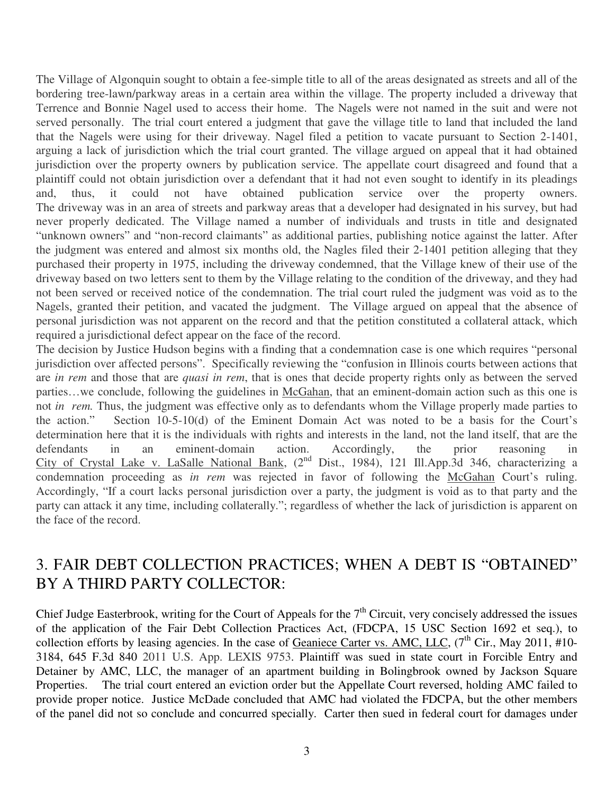The Village of Algonquin sought to obtain a fee-simple title to all of the areas designated as streets and all of the bordering tree-lawn/parkway areas in a certain area within the village. The property included a driveway that Terrence and Bonnie Nagel used to access their home. The Nagels were not named in the suit and were not served personally. The trial court entered a judgment that gave the village title to land that included the land that the Nagels were using for their driveway. Nagel filed a petition to vacate pursuant to Section 2-1401, arguing a lack of jurisdiction which the trial court granted. The village argued on appeal that it had obtained jurisdiction over the property owners by publication service. The appellate court disagreed and found that a plaintiff could not obtain jurisdiction over a defendant that it had not even sought to identify in its pleadings and, thus, it could not have obtained publication service over the property owners. The driveway was in an area of streets and parkway areas that a developer had designated in his survey, but had never properly dedicated. The Village named a number of individuals and trusts in title and designated "unknown owners" and "non-record claimants" as additional parties, publishing notice against the latter. After the judgment was entered and almost six months old, the Nagles filed their 2-1401 petition alleging that they purchased their property in 1975, including the driveway condemned, that the Village knew of their use of the driveway based on two letters sent to them by the Village relating to the condition of the driveway, and they had not been served or received notice of the condemnation. The trial court ruled the judgment was void as to the Nagels, granted their petition, and vacated the judgment. The Village argued on appeal that the absence of personal jurisdiction was not apparent on the record and that the petition constituted a collateral attack, which required a jurisdictional defect appear on the face of the record.

The decision by Justice Hudson begins with a finding that a condemnation case is one which requires "personal jurisdiction over affected persons". Specifically reviewing the "confusion in Illinois courts between actions that are *in rem* and those that are *quasi in rem*, that is ones that decide property rights only as between the served parties…we conclude, following the guidelines in McGahan, that an eminent-domain action such as this one is not *in rem.* Thus, the judgment was effective only as to defendants whom the Village properly made parties to the action." Section 10-5-10(d) of the Eminent Domain Act was noted to be a basis for the Court's determination here that it is the individuals with rights and interests in the land, not the land itself, that are the defendants in an eminent-domain action. Accordingly, the prior reasoning in City of Crystal Lake v. LaSalle National Bank, (2<sup>nd</sup> Dist., 1984), 121 Ill.App.3d 346, characterizing a condemnation proceeding as *in rem* was rejected in favor of following the McGahan Court's ruling. Accordingly, "If a court lacks personal jurisdiction over a party, the judgment is void as to that party and the party can attack it any time, including collaterally."; regardless of whether the lack of jurisdiction is apparent on the face of the record.

## 3. FAIR DEBT COLLECTION PRACTICES; WHEN A DEBT IS "OBTAINED" BY A THIRD PARTY COLLECTOR:

Chief Judge Easterbrook, writing for the Court of Appeals for the  $7<sup>th</sup>$  Circuit, very concisely addressed the issues of the application of the Fair Debt Collection Practices Act, (FDCPA, 15 USC Section 1692 et seq.), to collection efforts by leasing agencies. In the case of Geaniece Carter vs. AMC, LLC,  $(7^{th}$  Cir., May 2011, #10-3184, 645 F.3d 840 2011 U.S. App. LEXIS 9753. Plaintiff was sued in state court in Forcible Entry and Detainer by AMC, LLC, the manager of an apartment building in Bolingbrook owned by Jackson Square Properties. The trial court entered an eviction order but the Appellate Court reversed, holding AMC failed to provide proper notice. Justice McDade concluded that AMC had violated the FDCPA, but the other members of the panel did not so conclude and concurred specially. Carter then sued in federal court for damages under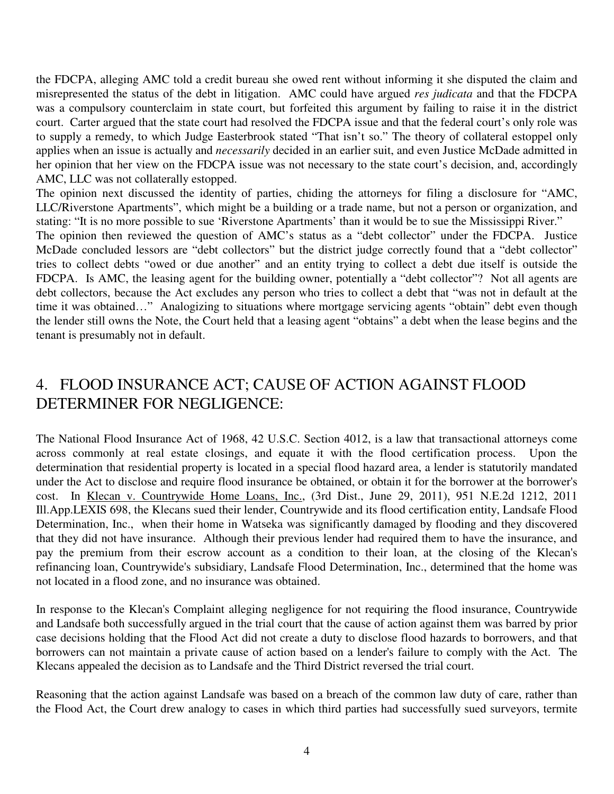the FDCPA, alleging AMC told a credit bureau she owed rent without informing it she disputed the claim and misrepresented the status of the debt in litigation. AMC could have argued *res judicata* and that the FDCPA was a compulsory counterclaim in state court, but forfeited this argument by failing to raise it in the district court. Carter argued that the state court had resolved the FDCPA issue and that the federal court's only role was to supply a remedy, to which Judge Easterbrook stated "That isn't so." The theory of collateral estoppel only applies when an issue is actually and *necessarily* decided in an earlier suit, and even Justice McDade admitted in her opinion that her view on the FDCPA issue was not necessary to the state court's decision, and, accordingly AMC, LLC was not collaterally estopped.

The opinion next discussed the identity of parties, chiding the attorneys for filing a disclosure for "AMC, LLC/Riverstone Apartments", which might be a building or a trade name, but not a person or organization, and stating: "It is no more possible to sue 'Riverstone Apartments' than it would be to sue the Mississippi River."

The opinion then reviewed the question of AMC's status as a "debt collector" under the FDCPA. Justice McDade concluded lessors are "debt collectors" but the district judge correctly found that a "debt collector" tries to collect debts "owed or due another" and an entity trying to collect a debt due itself is outside the FDCPA. Is AMC, the leasing agent for the building owner, potentially a "debt collector"? Not all agents are debt collectors, because the Act excludes any person who tries to collect a debt that "was not in default at the time it was obtained…" Analogizing to situations where mortgage servicing agents "obtain" debt even though the lender still owns the Note, the Court held that a leasing agent "obtains" a debt when the lease begins and the tenant is presumably not in default.

# 4. FLOOD INSURANCE ACT; CAUSE OF ACTION AGAINST FLOOD DETERMINER FOR NEGLIGENCE:

The National Flood Insurance Act of 1968, 42 U.S.C. Section 4012, is a law that transactional attorneys come across commonly at real estate closings, and equate it with the flood certification process. Upon the determination that residential property is located in a special flood hazard area, a lender is statutorily mandated under the Act to disclose and require flood insurance be obtained, or obtain it for the borrower at the borrower's cost. In Klecan v. Countrywide Home Loans, Inc., (3rd Dist., June 29, 2011), 951 N.E.2d 1212, 2011 Ill.App.LEXIS 698, the Klecans sued their lender, Countrywide and its flood certification entity, Landsafe Flood Determination, Inc., when their home in Watseka was significantly damaged by flooding and they discovered that they did not have insurance. Although their previous lender had required them to have the insurance, and pay the premium from their escrow account as a condition to their loan, at the closing of the Klecan's refinancing loan, Countrywide's subsidiary, Landsafe Flood Determination, Inc., determined that the home was not located in a flood zone, and no insurance was obtained.

In response to the Klecan's Complaint alleging negligence for not requiring the flood insurance, Countrywide and Landsafe both successfully argued in the trial court that the cause of action against them was barred by prior case decisions holding that the Flood Act did not create a duty to disclose flood hazards to borrowers, and that borrowers can not maintain a private cause of action based on a lender's failure to comply with the Act. The Klecans appealed the decision as to Landsafe and the Third District reversed the trial court.

Reasoning that the action against Landsafe was based on a breach of the common law duty of care, rather than the Flood Act, the Court drew analogy to cases in which third parties had successfully sued surveyors, termite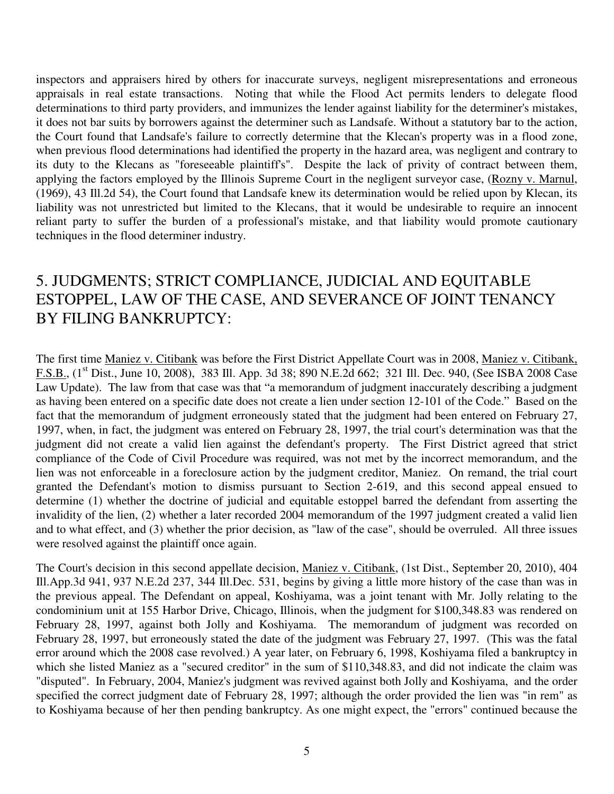inspectors and appraisers hired by others for inaccurate surveys, negligent misrepresentations and erroneous appraisals in real estate transactions. Noting that while the Flood Act permits lenders to delegate flood determinations to third party providers, and immunizes the lender against liability for the determiner's mistakes, it does not bar suits by borrowers against the determiner such as Landsafe. Without a statutory bar to the action, the Court found that Landsafe's failure to correctly determine that the Klecan's property was in a flood zone, when previous flood determinations had identified the property in the hazard area, was negligent and contrary to its duty to the Klecans as "foreseeable plaintiff's". Despite the lack of privity of contract between them, applying the factors employed by the Illinois Supreme Court in the negligent surveyor case, (Rozny v. Marnul, (1969), 43 Ill.2d 54), the Court found that Landsafe knew its determination would be relied upon by Klecan, its liability was not unrestricted but limited to the Klecans, that it would be undesirable to require an innocent reliant party to suffer the burden of a professional's mistake, and that liability would promote cautionary techniques in the flood determiner industry.

## 5. JUDGMENTS; STRICT COMPLIANCE, JUDICIAL AND EQUITABLE ESTOPPEL, LAW OF THE CASE, AND SEVERANCE OF JOINT TENANCY BY FILING BANKRUPTCY:

The first time Maniez v. Citibank was before the First District Appellate Court was in 2008, Maniez v. Citibank, F.S.B., (1st Dist., June 10, 2008), 383 Ill. App. 3d 38; 890 N.E.2d 662; 321 Ill. Dec. 940, (See ISBA 2008 Case Law Update). The law from that case was that "a memorandum of judgment inaccurately describing a judgment as having been entered on a specific date does not create a lien under section 12-101 of the Code." Based on the fact that the memorandum of judgment erroneously stated that the judgment had been entered on February 27, 1997, when, in fact, the judgment was entered on February 28, 1997, the trial court's determination was that the judgment did not create a valid lien against the defendant's property. The First District agreed that strict compliance of the Code of Civil Procedure was required, was not met by the incorrect memorandum, and the lien was not enforceable in a foreclosure action by the judgment creditor, Maniez. On remand, the trial court granted the Defendant's motion to dismiss pursuant to Section 2-619, and this second appeal ensued to determine (1) whether the doctrine of judicial and equitable estoppel barred the defendant from asserting the invalidity of the lien, (2) whether a later recorded 2004 memorandum of the 1997 judgment created a valid lien and to what effect, and (3) whether the prior decision, as "law of the case", should be overruled. All three issues were resolved against the plaintiff once again.

The Court's decision in this second appellate decision, Maniez v. Citibank, (1st Dist., September 20, 2010), 404 Ill.App.3d 941, 937 N.E.2d 237, 344 Ill.Dec. 531, begins by giving a little more history of the case than was in the previous appeal. The Defendant on appeal, Koshiyama, was a joint tenant with Mr. Jolly relating to the condominium unit at 155 Harbor Drive, Chicago, Illinois, when the judgment for \$100,348.83 was rendered on February 28, 1997, against both Jolly and Koshiyama. The memorandum of judgment was recorded on February 28, 1997, but erroneously stated the date of the judgment was February 27, 1997. (This was the fatal error around which the 2008 case revolved.) A year later, on February 6, 1998, Koshiyama filed a bankruptcy in which she listed Maniez as a "secured creditor" in the sum of \$110,348.83, and did not indicate the claim was "disputed". In February, 2004, Maniez's judgment was revived against both Jolly and Koshiyama, and the order specified the correct judgment date of February 28, 1997; although the order provided the lien was "in rem" as to Koshiyama because of her then pending bankruptcy. As one might expect, the "errors" continued because the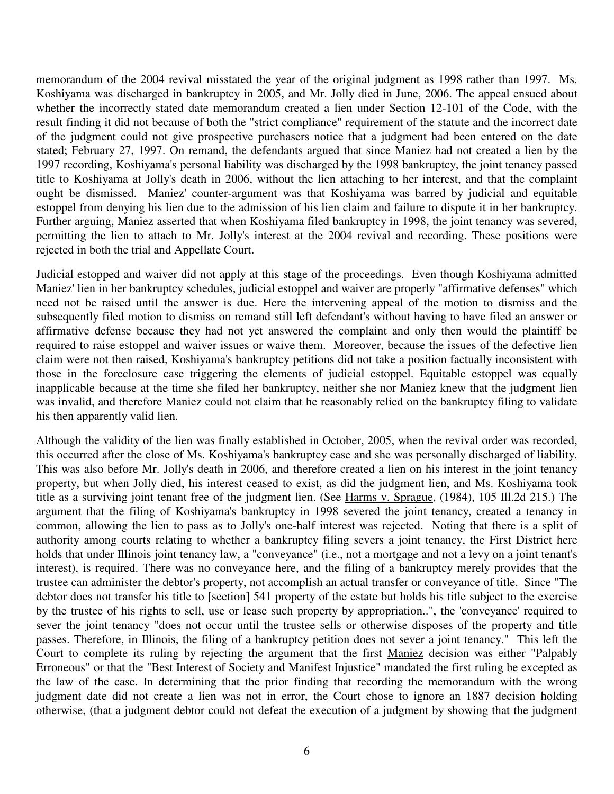memorandum of the 2004 revival misstated the year of the original judgment as 1998 rather than 1997. Ms. Koshiyama was discharged in bankruptcy in 2005, and Mr. Jolly died in June, 2006. The appeal ensued about whether the incorrectly stated date memorandum created a lien under Section 12-101 of the Code, with the result finding it did not because of both the "strict compliance" requirement of the statute and the incorrect date of the judgment could not give prospective purchasers notice that a judgment had been entered on the date stated; February 27, 1997. On remand, the defendants argued that since Maniez had not created a lien by the 1997 recording, Koshiyama's personal liability was discharged by the 1998 bankruptcy, the joint tenancy passed title to Koshiyama at Jolly's death in 2006, without the lien attaching to her interest, and that the complaint ought be dismissed. Maniez' counter-argument was that Koshiyama was barred by judicial and equitable estoppel from denying his lien due to the admission of his lien claim and failure to dispute it in her bankruptcy. Further arguing, Maniez asserted that when Koshiyama filed bankruptcy in 1998, the joint tenancy was severed, permitting the lien to attach to Mr. Jolly's interest at the 2004 revival and recording. These positions were rejected in both the trial and Appellate Court.

Judicial estopped and waiver did not apply at this stage of the proceedings. Even though Koshiyama admitted Maniez' lien in her bankruptcy schedules, judicial estoppel and waiver are properly "affirmative defenses" which need not be raised until the answer is due. Here the intervening appeal of the motion to dismiss and the subsequently filed motion to dismiss on remand still left defendant's without having to have filed an answer or affirmative defense because they had not yet answered the complaint and only then would the plaintiff be required to raise estoppel and waiver issues or waive them. Moreover, because the issues of the defective lien claim were not then raised, Koshiyama's bankruptcy petitions did not take a position factually inconsistent with those in the foreclosure case triggering the elements of judicial estoppel. Equitable estoppel was equally inapplicable because at the time she filed her bankruptcy, neither she nor Maniez knew that the judgment lien was invalid, and therefore Maniez could not claim that he reasonably relied on the bankruptcy filing to validate his then apparently valid lien.

Although the validity of the lien was finally established in October, 2005, when the revival order was recorded, this occurred after the close of Ms. Koshiyama's bankruptcy case and she was personally discharged of liability. This was also before Mr. Jolly's death in 2006, and therefore created a lien on his interest in the joint tenancy property, but when Jolly died, his interest ceased to exist, as did the judgment lien, and Ms. Koshiyama took title as a surviving joint tenant free of the judgment lien. (See Harms v. Sprague, (1984), 105 Ill.2d 215.) The argument that the filing of Koshiyama's bankruptcy in 1998 severed the joint tenancy, created a tenancy in common, allowing the lien to pass as to Jolly's one-half interest was rejected. Noting that there is a split of authority among courts relating to whether a bankruptcy filing severs a joint tenancy, the First District here holds that under Illinois joint tenancy law, a "conveyance" (i.e., not a mortgage and not a levy on a joint tenant's interest), is required. There was no conveyance here, and the filing of a bankruptcy merely provides that the trustee can administer the debtor's property, not accomplish an actual transfer or conveyance of title. Since "The debtor does not transfer his title to [section] 541 property of the estate but holds his title subject to the exercise by the trustee of his rights to sell, use or lease such property by appropriation..", the 'conveyance' required to sever the joint tenancy "does not occur until the trustee sells or otherwise disposes of the property and title passes. Therefore, in Illinois, the filing of a bankruptcy petition does not sever a joint tenancy." This left the Court to complete its ruling by rejecting the argument that the first Maniez decision was either "Palpably Erroneous" or that the "Best Interest of Society and Manifest Injustice" mandated the first ruling be excepted as the law of the case. In determining that the prior finding that recording the memorandum with the wrong judgment date did not create a lien was not in error, the Court chose to ignore an 1887 decision holding otherwise, (that a judgment debtor could not defeat the execution of a judgment by showing that the judgment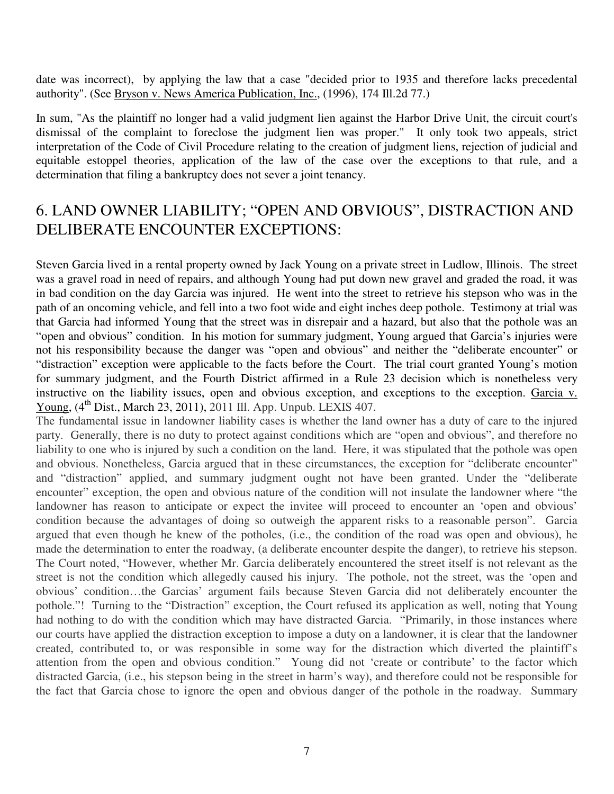date was incorrect), by applying the law that a case "decided prior to 1935 and therefore lacks precedental authority". (See Bryson v. News America Publication, Inc., (1996), 174 Ill.2d 77.)

In sum, "As the plaintiff no longer had a valid judgment lien against the Harbor Drive Unit, the circuit court's dismissal of the complaint to foreclose the judgment lien was proper." It only took two appeals, strict interpretation of the Code of Civil Procedure relating to the creation of judgment liens, rejection of judicial and equitable estoppel theories, application of the law of the case over the exceptions to that rule, and a determination that filing a bankruptcy does not sever a joint tenancy.

#### 6. LAND OWNER LIABILITY; "OPEN AND OBVIOUS", DISTRACTION AND DELIBERATE ENCOUNTER EXCEPTIONS:

Steven Garcia lived in a rental property owned by Jack Young on a private street in Ludlow, Illinois. The street was a gravel road in need of repairs, and although Young had put down new gravel and graded the road, it was in bad condition on the day Garcia was injured. He went into the street to retrieve his stepson who was in the path of an oncoming vehicle, and fell into a two foot wide and eight inches deep pothole. Testimony at trial was that Garcia had informed Young that the street was in disrepair and a hazard, but also that the pothole was an "open and obvious" condition. In his motion for summary judgment, Young argued that Garcia's injuries were not his responsibility because the danger was "open and obvious" and neither the "deliberate encounter" or "distraction" exception were applicable to the facts before the Court. The trial court granted Young's motion for summary judgment, and the Fourth District affirmed in a Rule 23 decision which is nonetheless very instructive on the liability issues, open and obvious exception, and exceptions to the exception. Garcia v. Young, (4<sup>th</sup> Dist., March 23, 2011), 2011 Ill. App. Unpub. LEXIS 407.

The fundamental issue in landowner liability cases is whether the land owner has a duty of care to the injured party. Generally, there is no duty to protect against conditions which are "open and obvious", and therefore no liability to one who is injured by such a condition on the land. Here, it was stipulated that the pothole was open and obvious. Nonetheless, Garcia argued that in these circumstances, the exception for "deliberate encounter" and "distraction" applied, and summary judgment ought not have been granted. Under the "deliberate encounter" exception, the open and obvious nature of the condition will not insulate the landowner where "the landowner has reason to anticipate or expect the invitee will proceed to encounter an 'open and obvious' condition because the advantages of doing so outweigh the apparent risks to a reasonable person". Garcia argued that even though he knew of the potholes, (i.e., the condition of the road was open and obvious), he made the determination to enter the roadway, (a deliberate encounter despite the danger), to retrieve his stepson. The Court noted, "However, whether Mr. Garcia deliberately encountered the street itself is not relevant as the street is not the condition which allegedly caused his injury. The pothole, not the street, was the 'open and obvious' condition…the Garcias' argument fails because Steven Garcia did not deliberately encounter the pothole."! Turning to the "Distraction" exception, the Court refused its application as well, noting that Young had nothing to do with the condition which may have distracted Garcia. "Primarily, in those instances where our courts have applied the distraction exception to impose a duty on a landowner, it is clear that the landowner created, contributed to, or was responsible in some way for the distraction which diverted the plaintiff's attention from the open and obvious condition." Young did not 'create or contribute' to the factor which distracted Garcia, (i.e., his stepson being in the street in harm's way), and therefore could not be responsible for the fact that Garcia chose to ignore the open and obvious danger of the pothole in the roadway. Summary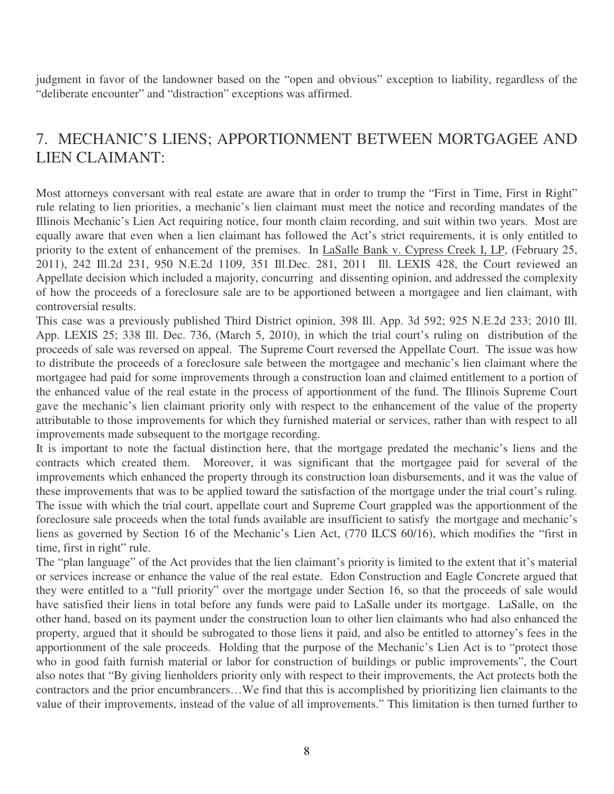judgment in favor of the landowner based on the "open and obvious" exception to liability, regardless of the "deliberate encounter" and "distraction" exceptions was affirmed.

# 7. MECHANIC'S LIENS; APPORTIONMENT BETWEEN MORTGAGEE AND LIEN CLAIMANT:

Most attorneys conversant with real estate are aware that in order to trump the "First in Time, First in Right" rule relating to lien priorities, a mechanic's lien claimant must meet the notice and recording mandates of the Illinois Mechanic's Lien Act requiring notice, four month claim recording, and suit within two years. Most are equally aware that even when a lien claimant has followed the Act's strict requirements, it is only entitled to priority to the extent of enhancement of the premises. In LaSalle Bank v. Cypress Creek I, LP, (February 25, 2011), 242 Ill.2d 231, 950 N.E.2d 1109, 351 Ill.Dec. 281, 2011 Ill. LEXIS 428, the Court reviewed an Appellate decision which included a majority, concurring and dissenting opinion, and addressed the complexity of how the proceeds of a foreclosure sale are to be apportioned between a mortgagee and lien claimant, with controversial results.

This case was a previously published Third District opinion, 398 Ill. App. 3d 592; 925 N.E.2d 233; 2010 Ill. App. LEXIS 25; 338 Ill. Dec. 736, (March 5, 2010), in which the trial court's ruling on distribution of the proceeds of sale was reversed on appeal. The Supreme Court reversed the Appellate Court. The issue was how to distribute the proceeds of a foreclosure sale between the mortgagee and mechanic's lien claimant where the mortgagee had paid for some improvements through a construction loan and claimed entitlement to a portion of the enhanced value of the real estate in the process of apportionment of the fund. The Illinois Supreme Court gave the mechanic's lien claimant priority only with respect to the enhancement of the value of the property attributable to those improvements for which they furnished material or services, rather than with respect to all improvements made subsequent to the mortgage recording.

It is important to note the factual distinction here, that the mortgage predated the mechanic's liens and the contracts which created them. Moreover, it was significant that the mortgagee paid for several of the improvements which enhanced the property through its construction loan disbursements, and it was the value of these improvements that was to be applied toward the satisfaction of the mortgage under the trial court's ruling. The issue with which the trial court, appellate court and Supreme Court grappled was the apportionment of the foreclosure sale proceeds when the total funds available are insufficient to satisfy the mortgage and mechanic's liens as governed by Section 16 of the Mechanic's Lien Act, (770 ILCS 60/16), which modifies the "first in time, first in right" rule.

The "plan language" of the Act provides that the lien claimant's priority is limited to the extent that it's material or services increase or enhance the value of the real estate. Edon Construction and Eagle Concrete argued that they were entitled to a "full priority" over the mortgage under Section 16, so that the proceeds of sale would have satisfied their liens in total before any funds were paid to LaSalle under its mortgage. LaSalle, on the other hand, based on its payment under the construction loan to other lien claimants who had also enhanced the property, argued that it should be subrogated to those liens it paid, and also be entitled to attorney's fees in the apportionment of the sale proceeds. Holding that the purpose of the Mechanic's Lien Act is to "protect those who in good faith furnish material or labor for construction of buildings or public improvements", the Court also notes that "By giving lienholders priority only with respect to their improvements, the Act protects both the contractors and the prior encumbrancers…We find that this is accomplished by prioritizing lien claimants to the value of their improvements, instead of the value of all improvements." This limitation is then turned further to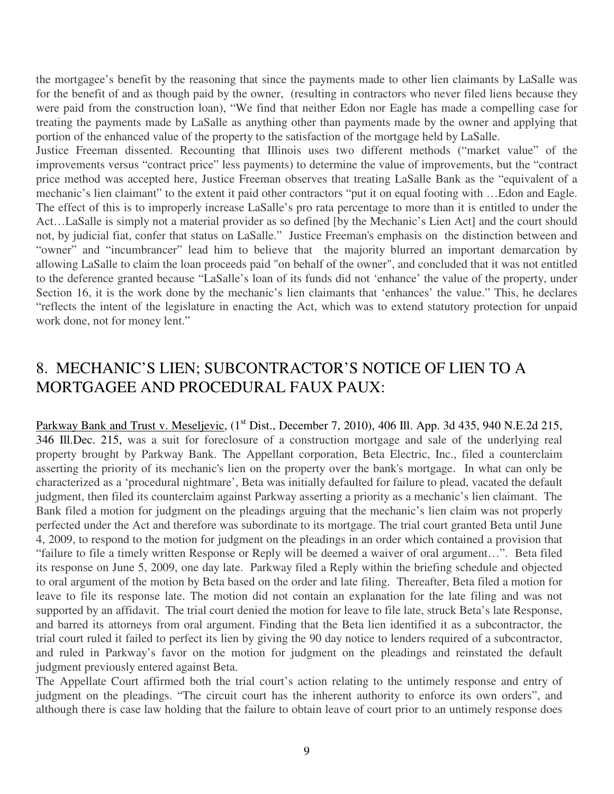the mortgagee's benefit by the reasoning that since the payments made to other lien claimants by LaSalle was for the benefit of and as though paid by the owner, (resulting in contractors who never filed liens because they were paid from the construction loan), "We find that neither Edon nor Eagle has made a compelling case for treating the payments made by LaSalle as anything other than payments made by the owner and applying that portion of the enhanced value of the property to the satisfaction of the mortgage held by LaSalle.

Justice Freeman dissented. Recounting that Illinois uses two different methods ("market value" of the improvements versus "contract price" less payments) to determine the value of improvements, but the "contract price method was accepted here, Justice Freeman observes that treating LaSalle Bank as the "equivalent of a mechanic's lien claimant" to the extent it paid other contractors "put it on equal footing with …Edon and Eagle. The effect of this is to improperly increase LaSalle's pro rata percentage to more than it is entitled to under the Act…LaSalle is simply not a material provider as so defined [by the Mechanic's Lien Act] and the court should not, by judicial fiat, confer that status on LaSalle." Justice Freeman's emphasis on the distinction between and "owner" and "incumbrancer" lead him to believe that the majority blurred an important demarcation by allowing LaSalle to claim the loan proceeds paid "on behalf of the owner", and concluded that it was not entitled to the deference granted because "LaSalle's loan of its funds did not 'enhance' the value of the property, under Section 16, it is the work done by the mechanic's lien claimants that 'enhances' the value." This, he declares "reflects the intent of the legislature in enacting the Act, which was to extend statutory protection for unpaid work done, not for money lent."

#### 8. MECHANIC'S LIEN; SUBCONTRACTOR'S NOTICE OF LIEN TO A MORTGAGEE AND PROCEDURAL FAUX PAUX:

Parkway Bank and Trust v. Meseljevic, (1<sup>st</sup> Dist., December 7, 2010), 406 Ill. App. 3d 435, 940 N.E.2d 215, 346 Ill.Dec. 215, was a suit for foreclosure of a construction mortgage and sale of the underlying real property brought by Parkway Bank. The Appellant corporation, Beta Electric, Inc., filed a counterclaim asserting the priority of its mechanic's lien on the property over the bank's mortgage. In what can only be characterized as a 'procedural nightmare', Beta was initially defaulted for failure to plead, vacated the default judgment, then filed its counterclaim against Parkway asserting a priority as a mechanic's lien claimant. The Bank filed a motion for judgment on the pleadings arguing that the mechanic's lien claim was not properly perfected under the Act and therefore was subordinate to its mortgage. The trial court granted Beta until June 4, 2009, to respond to the motion for judgment on the pleadings in an order which contained a provision that "failure to file a timely written Response or Reply will be deemed a waiver of oral argument…". Beta filed its response on June 5, 2009, one day late. Parkway filed a Reply within the briefing schedule and objected to oral argument of the motion by Beta based on the order and late filing. Thereafter, Beta filed a motion for leave to file its response late. The motion did not contain an explanation for the late filing and was not supported by an affidavit. The trial court denied the motion for leave to file late, struck Beta's late Response, and barred its attorneys from oral argument. Finding that the Beta lien identified it as a subcontractor, the trial court ruled it failed to perfect its lien by giving the 90 day notice to lenders required of a subcontractor, and ruled in Parkway's favor on the motion for judgment on the pleadings and reinstated the default judgment previously entered against Beta.

The Appellate Court affirmed both the trial court's action relating to the untimely response and entry of judgment on the pleadings. "The circuit court has the inherent authority to enforce its own orders", and although there is case law holding that the failure to obtain leave of court prior to an untimely response does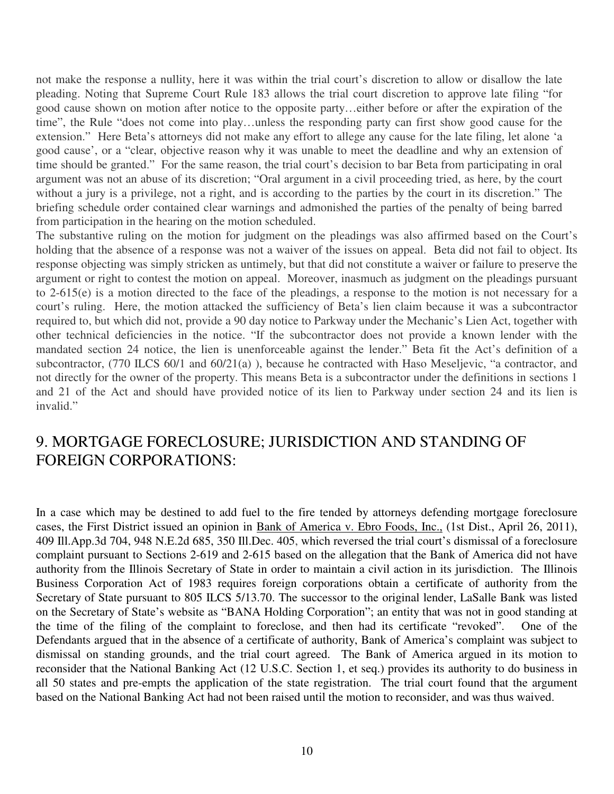not make the response a nullity, here it was within the trial court's discretion to allow or disallow the late pleading. Noting that Supreme Court Rule 183 allows the trial court discretion to approve late filing "for good cause shown on motion after notice to the opposite party…either before or after the expiration of the time", the Rule "does not come into play…unless the responding party can first show good cause for the extension." Here Beta's attorneys did not make any effort to allege any cause for the late filing, let alone 'a good cause', or a "clear, objective reason why it was unable to meet the deadline and why an extension of time should be granted." For the same reason, the trial court's decision to bar Beta from participating in oral argument was not an abuse of its discretion; "Oral argument in a civil proceeding tried, as here, by the court without a jury is a privilege, not a right, and is according to the parties by the court in its discretion." The briefing schedule order contained clear warnings and admonished the parties of the penalty of being barred from participation in the hearing on the motion scheduled.

The substantive ruling on the motion for judgment on the pleadings was also affirmed based on the Court's holding that the absence of a response was not a waiver of the issues on appeal. Beta did not fail to object. Its response objecting was simply stricken as untimely, but that did not constitute a waiver or failure to preserve the argument or right to contest the motion on appeal. Moreover, inasmuch as judgment on the pleadings pursuant to 2-615(e) is a motion directed to the face of the pleadings, a response to the motion is not necessary for a court's ruling. Here, the motion attacked the sufficiency of Beta's lien claim because it was a subcontractor required to, but which did not, provide a 90 day notice to Parkway under the Mechanic's Lien Act, together with other technical deficiencies in the notice. "If the subcontractor does not provide a known lender with the mandated section 24 notice, the lien is unenforceable against the lender." Beta fit the Act's definition of a subcontractor, (770 ILCS 60/1 and 60/21(a)), because he contracted with Haso Meseljevic, "a contractor, and not directly for the owner of the property. This means Beta is a subcontractor under the definitions in sections 1 and 21 of the Act and should have provided notice of its lien to Parkway under section 24 and its lien is invalid."

#### 9. MORTGAGE FORECLOSURE; JURISDICTION AND STANDING OF FOREIGN CORPORATIONS:

In a case which may be destined to add fuel to the fire tended by attorneys defending mortgage foreclosure cases, the First District issued an opinion in Bank of America v. Ebro Foods, Inc., (1st Dist., April 26, 2011), 409 Ill.App.3d 704, 948 N.E.2d 685, 350 Ill.Dec. 405, which reversed the trial court's dismissal of a foreclosure complaint pursuant to Sections 2-619 and 2-615 based on the allegation that the Bank of America did not have authority from the Illinois Secretary of State in order to maintain a civil action in its jurisdiction. The Illinois Business Corporation Act of 1983 requires foreign corporations obtain a certificate of authority from the Secretary of State pursuant to 805 ILCS 5/13.70. The successor to the original lender, LaSalle Bank was listed on the Secretary of State's website as "BANA Holding Corporation"; an entity that was not in good standing at the time of the filing of the complaint to foreclose, and then had its certificate "revoked". One of the Defendants argued that in the absence of a certificate of authority, Bank of America's complaint was subject to dismissal on standing grounds, and the trial court agreed. The Bank of America argued in its motion to reconsider that the National Banking Act (12 U.S.C. Section 1, et seq.) provides its authority to do business in all 50 states and pre-empts the application of the state registration. The trial court found that the argument based on the National Banking Act had not been raised until the motion to reconsider, and was thus waived.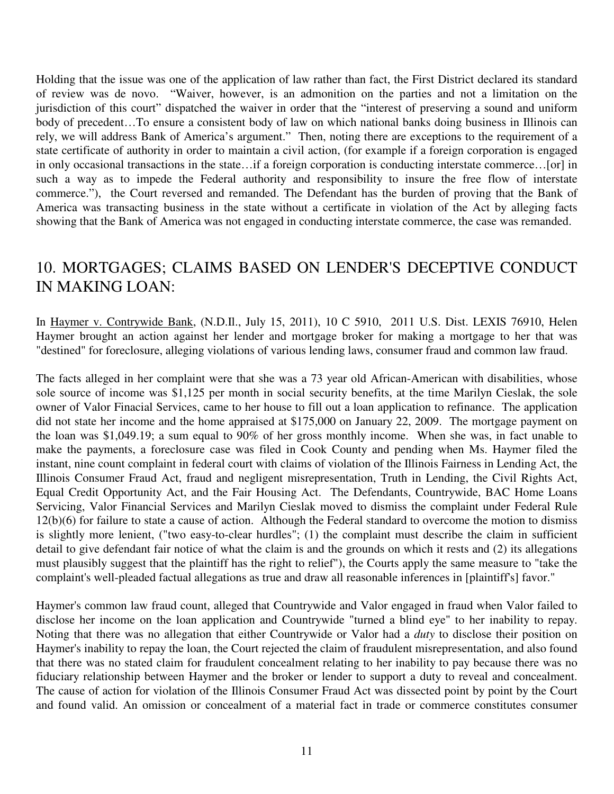Holding that the issue was one of the application of law rather than fact, the First District declared its standard of review was de novo. "Waiver, however, is an admonition on the parties and not a limitation on the jurisdiction of this court" dispatched the waiver in order that the "interest of preserving a sound and uniform body of precedent…To ensure a consistent body of law on which national banks doing business in Illinois can rely, we will address Bank of America's argument." Then, noting there are exceptions to the requirement of a state certificate of authority in order to maintain a civil action, (for example if a foreign corporation is engaged in only occasional transactions in the state…if a foreign corporation is conducting interstate commerce…[or] in such a way as to impede the Federal authority and responsibility to insure the free flow of interstate commerce."), the Court reversed and remanded. The Defendant has the burden of proving that the Bank of America was transacting business in the state without a certificate in violation of the Act by alleging facts showing that the Bank of America was not engaged in conducting interstate commerce, the case was remanded.

#### 10. MORTGAGES; CLAIMS BASED ON LENDER'S DECEPTIVE CONDUCT IN MAKING LOAN:

In Haymer v. Contrywide Bank, (N.D.Il., July 15, 2011), 10 C 5910, 2011 U.S. Dist. LEXIS 76910, Helen Haymer brought an action against her lender and mortgage broker for making a mortgage to her that was "destined" for foreclosure, alleging violations of various lending laws, consumer fraud and common law fraud.

The facts alleged in her complaint were that she was a 73 year old African-American with disabilities, whose sole source of income was \$1,125 per month in social security benefits, at the time Marilyn Cieslak, the sole owner of Valor Finacial Services, came to her house to fill out a loan application to refinance. The application did not state her income and the home appraised at \$175,000 on January 22, 2009. The mortgage payment on the loan was \$1,049.19; a sum equal to 90% of her gross monthly income. When she was, in fact unable to make the payments, a foreclosure case was filed in Cook County and pending when Ms. Haymer filed the instant, nine count complaint in federal court with claims of violation of the Illinois Fairness in Lending Act, the Illinois Consumer Fraud Act, fraud and negligent misrepresentation, Truth in Lending, the Civil Rights Act, Equal Credit Opportunity Act, and the Fair Housing Act. The Defendants, Countrywide, BAC Home Loans Servicing, Valor Financial Services and Marilyn Cieslak moved to dismiss the complaint under Federal Rule 12(b)(6) for failure to state a cause of action. Although the Federal standard to overcome the motion to dismiss is slightly more lenient, ("two easy-to-clear hurdles"; (1) the complaint must describe the claim in sufficient detail to give defendant fair notice of what the claim is and the grounds on which it rests and (2) its allegations must plausibly suggest that the plaintiff has the right to relief"), the Courts apply the same measure to "take the complaint's well-pleaded factual allegations as true and draw all reasonable inferences in [plaintiff's] favor."

Haymer's common law fraud count, alleged that Countrywide and Valor engaged in fraud when Valor failed to disclose her income on the loan application and Countrywide "turned a blind eye" to her inability to repay. Noting that there was no allegation that either Countrywide or Valor had a *duty* to disclose their position on Haymer's inability to repay the loan, the Court rejected the claim of fraudulent misrepresentation, and also found that there was no stated claim for fraudulent concealment relating to her inability to pay because there was no fiduciary relationship between Haymer and the broker or lender to support a duty to reveal and concealment. The cause of action for violation of the Illinois Consumer Fraud Act was dissected point by point by the Court and found valid. An omission or concealment of a material fact in trade or commerce constitutes consumer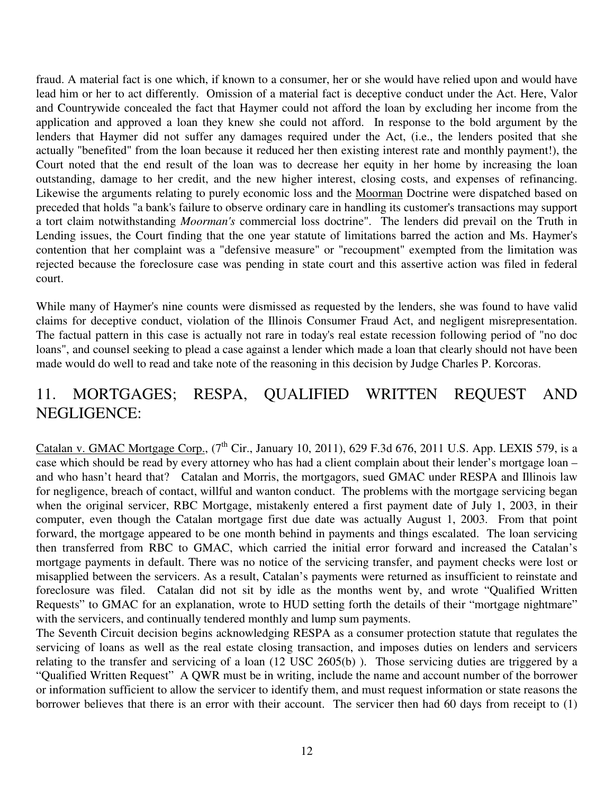fraud. A material fact is one which, if known to a consumer, her or she would have relied upon and would have lead him or her to act differently. Omission of a material fact is deceptive conduct under the Act. Here, Valor and Countrywide concealed the fact that Haymer could not afford the loan by excluding her income from the application and approved a loan they knew she could not afford. In response to the bold argument by the lenders that Haymer did not suffer any damages required under the Act, (i.e., the lenders posited that she actually "benefited" from the loan because it reduced her then existing interest rate and monthly payment!), the Court noted that the end result of the loan was to decrease her equity in her home by increasing the loan outstanding, damage to her credit, and the new higher interest, closing costs, and expenses of refinancing. Likewise the arguments relating to purely economic loss and the Moorman Doctrine were dispatched based on preceded that holds "a bank's failure to observe ordinary care in handling its customer's transactions may support a tort claim notwithstanding *Moorman's* commercial loss doctrine". The lenders did prevail on the Truth in Lending issues, the Court finding that the one year statute of limitations barred the action and Ms. Haymer's contention that her complaint was a "defensive measure" or "recoupment" exempted from the limitation was rejected because the foreclosure case was pending in state court and this assertive action was filed in federal court.

While many of Haymer's nine counts were dismissed as requested by the lenders, she was found to have valid claims for deceptive conduct, violation of the Illinois Consumer Fraud Act, and negligent misrepresentation. The factual pattern in this case is actually not rare in today's real estate recession following period of "no doc loans", and counsel seeking to plead a case against a lender which made a loan that clearly should not have been made would do well to read and take note of the reasoning in this decision by Judge Charles P. Korcoras.

#### 11. MORTGAGES; RESPA, QUALIFIED WRITTEN REQUEST AND NEGLIGENCE:

Catalan v. GMAC Mortgage Corp.,  $(7<sup>th</sup>$  Cir., January 10, 2011), 629 F.3d 676, 2011 U.S. App. LEXIS 579, is a case which should be read by every attorney who has had a client complain about their lender's mortgage loan – and who hasn't heard that? Catalan and Morris, the mortgagors, sued GMAC under RESPA and Illinois law for negligence, breach of contact, willful and wanton conduct. The problems with the mortgage servicing began when the original servicer, RBC Mortgage, mistakenly entered a first payment date of July 1, 2003, in their computer, even though the Catalan mortgage first due date was actually August 1, 2003. From that point forward, the mortgage appeared to be one month behind in payments and things escalated. The loan servicing then transferred from RBC to GMAC, which carried the initial error forward and increased the Catalan's mortgage payments in default. There was no notice of the servicing transfer, and payment checks were lost or misapplied between the servicers. As a result, Catalan's payments were returned as insufficient to reinstate and foreclosure was filed. Catalan did not sit by idle as the months went by, and wrote "Qualified Written Requests" to GMAC for an explanation, wrote to HUD setting forth the details of their "mortgage nightmare" with the servicers, and continually tendered monthly and lump sum payments.

The Seventh Circuit decision begins acknowledging RESPA as a consumer protection statute that regulates the servicing of loans as well as the real estate closing transaction, and imposes duties on lenders and servicers relating to the transfer and servicing of a loan (12 USC 2605(b) ). Those servicing duties are triggered by a "Qualified Written Request" A QWR must be in writing, include the name and account number of the borrower or information sufficient to allow the servicer to identify them, and must request information or state reasons the borrower believes that there is an error with their account. The servicer then had 60 days from receipt to (1)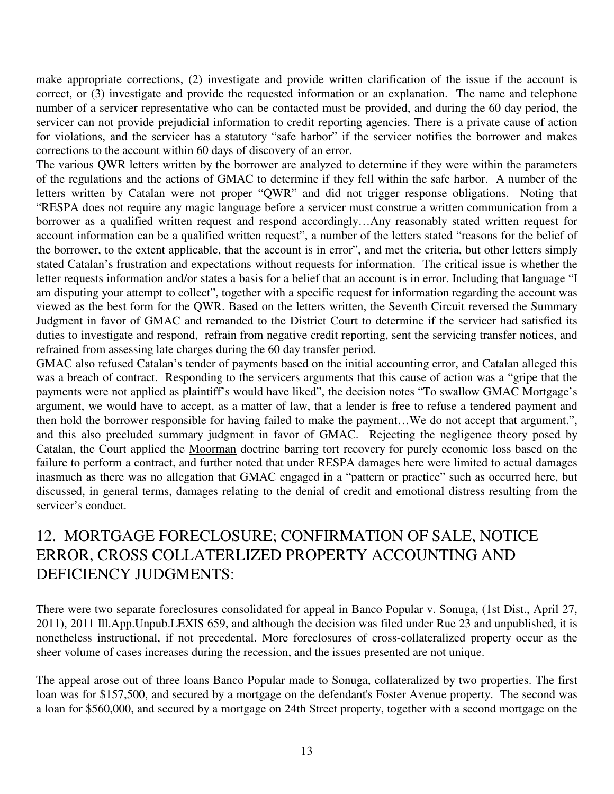make appropriate corrections, (2) investigate and provide written clarification of the issue if the account is correct, or (3) investigate and provide the requested information or an explanation. The name and telephone number of a servicer representative who can be contacted must be provided, and during the 60 day period, the servicer can not provide prejudicial information to credit reporting agencies. There is a private cause of action for violations, and the servicer has a statutory "safe harbor" if the servicer notifies the borrower and makes corrections to the account within 60 days of discovery of an error.

The various QWR letters written by the borrower are analyzed to determine if they were within the parameters of the regulations and the actions of GMAC to determine if they fell within the safe harbor. A number of the letters written by Catalan were not proper "QWR" and did not trigger response obligations. Noting that "RESPA does not require any magic language before a servicer must construe a written communication from a borrower as a qualified written request and respond accordingly…Any reasonably stated written request for account information can be a qualified written request", a number of the letters stated "reasons for the belief of the borrower, to the extent applicable, that the account is in error", and met the criteria, but other letters simply stated Catalan's frustration and expectations without requests for information. The critical issue is whether the letter requests information and/or states a basis for a belief that an account is in error. Including that language "I am disputing your attempt to collect", together with a specific request for information regarding the account was viewed as the best form for the QWR. Based on the letters written, the Seventh Circuit reversed the Summary Judgment in favor of GMAC and remanded to the District Court to determine if the servicer had satisfied its duties to investigate and respond, refrain from negative credit reporting, sent the servicing transfer notices, and refrained from assessing late charges during the 60 day transfer period.

GMAC also refused Catalan's tender of payments based on the initial accounting error, and Catalan alleged this was a breach of contract. Responding to the servicers arguments that this cause of action was a "gripe that the payments were not applied as plaintiff's would have liked", the decision notes "To swallow GMAC Mortgage's argument, we would have to accept, as a matter of law, that a lender is free to refuse a tendered payment and then hold the borrower responsible for having failed to make the payment…We do not accept that argument.", and this also precluded summary judgment in favor of GMAC. Rejecting the negligence theory posed by Catalan, the Court applied the Moorman doctrine barring tort recovery for purely economic loss based on the failure to perform a contract, and further noted that under RESPA damages here were limited to actual damages inasmuch as there was no allegation that GMAC engaged in a "pattern or practice" such as occurred here, but discussed, in general terms, damages relating to the denial of credit and emotional distress resulting from the servicer's conduct.

### 12. MORTGAGE FORECLOSURE; CONFIRMATION OF SALE, NOTICE ERROR, CROSS COLLATERLIZED PROPERTY ACCOUNTING AND DEFICIENCY JUDGMENTS:

There were two separate foreclosures consolidated for appeal in Banco Popular v. Sonuga, (1st Dist., April 27, 2011), 2011 Ill.App.Unpub.LEXIS 659, and although the decision was filed under Rue 23 and unpublished, it is nonetheless instructional, if not precedental. More foreclosures of cross-collateralized property occur as the sheer volume of cases increases during the recession, and the issues presented are not unique.

The appeal arose out of three loans Banco Popular made to Sonuga, collateralized by two properties. The first loan was for \$157,500, and secured by a mortgage on the defendant's Foster Avenue property. The second was a loan for \$560,000, and secured by a mortgage on 24th Street property, together with a second mortgage on the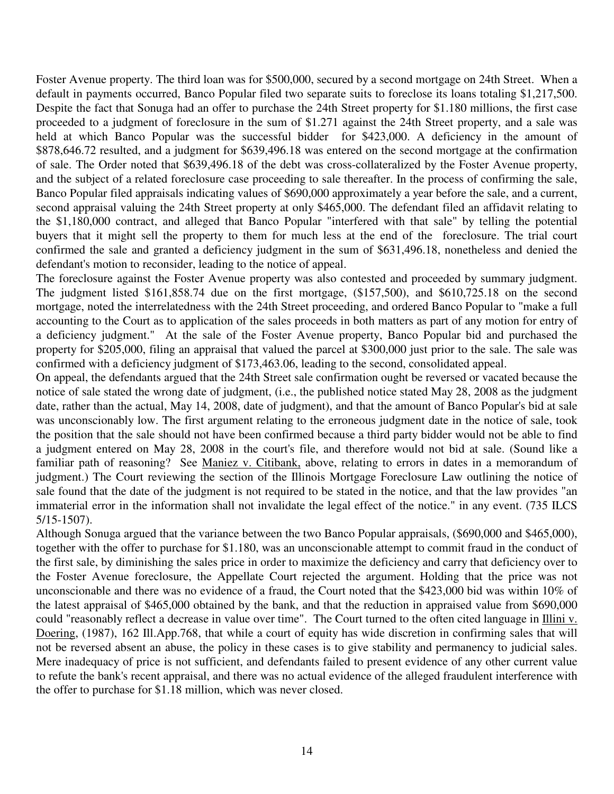Foster Avenue property. The third loan was for \$500,000, secured by a second mortgage on 24th Street. When a default in payments occurred, Banco Popular filed two separate suits to foreclose its loans totaling \$1,217,500. Despite the fact that Sonuga had an offer to purchase the 24th Street property for \$1.180 millions, the first case proceeded to a judgment of foreclosure in the sum of \$1.271 against the 24th Street property, and a sale was held at which Banco Popular was the successful bidder for \$423,000. A deficiency in the amount of \$878,646.72 resulted, and a judgment for \$639,496.18 was entered on the second mortgage at the confirmation of sale. The Order noted that \$639,496.18 of the debt was cross-collateralized by the Foster Avenue property, and the subject of a related foreclosure case proceeding to sale thereafter. In the process of confirming the sale, Banco Popular filed appraisals indicating values of \$690,000 approximately a year before the sale, and a current, second appraisal valuing the 24th Street property at only \$465,000. The defendant filed an affidavit relating to the \$1,180,000 contract, and alleged that Banco Popular "interfered with that sale" by telling the potential buyers that it might sell the property to them for much less at the end of the foreclosure. The trial court confirmed the sale and granted a deficiency judgment in the sum of \$631,496.18, nonetheless and denied the defendant's motion to reconsider, leading to the notice of appeal.

The foreclosure against the Foster Avenue property was also contested and proceeded by summary judgment. The judgment listed \$161,858.74 due on the first mortgage, (\$157,500), and \$610,725.18 on the second mortgage, noted the interrelatedness with the 24th Street proceeding, and ordered Banco Popular to "make a full accounting to the Court as to application of the sales proceeds in both matters as part of any motion for entry of a deficiency judgment." At the sale of the Foster Avenue property, Banco Popular bid and purchased the property for \$205,000, filing an appraisal that valued the parcel at \$300,000 just prior to the sale. The sale was confirmed with a deficiency judgment of \$173,463.06, leading to the second, consolidated appeal.

On appeal, the defendants argued that the 24th Street sale confirmation ought be reversed or vacated because the notice of sale stated the wrong date of judgment, (i.e., the published notice stated May 28, 2008 as the judgment date, rather than the actual, May 14, 2008, date of judgment), and that the amount of Banco Popular's bid at sale was unconscionably low. The first argument relating to the erroneous judgment date in the notice of sale, took the position that the sale should not have been confirmed because a third party bidder would not be able to find a judgment entered on May 28, 2008 in the court's file, and therefore would not bid at sale. (Sound like a familiar path of reasoning? See Maniez v. Citibank, above, relating to errors in dates in a memorandum of judgment.) The Court reviewing the section of the Illinois Mortgage Foreclosure Law outlining the notice of sale found that the date of the judgment is not required to be stated in the notice, and that the law provides "an immaterial error in the information shall not invalidate the legal effect of the notice." in any event. (735 ILCS 5/15-1507).

Although Sonuga argued that the variance between the two Banco Popular appraisals, (\$690,000 and \$465,000), together with the offer to purchase for \$1.180, was an unconscionable attempt to commit fraud in the conduct of the first sale, by diminishing the sales price in order to maximize the deficiency and carry that deficiency over to the Foster Avenue foreclosure, the Appellate Court rejected the argument. Holding that the price was not unconscionable and there was no evidence of a fraud, the Court noted that the \$423,000 bid was within 10% of the latest appraisal of \$465,000 obtained by the bank, and that the reduction in appraised value from \$690,000 could "reasonably reflect a decrease in value over time". The Court turned to the often cited language in Illini v. Doering, (1987), 162 Ill.App.768, that while a court of equity has wide discretion in confirming sales that will not be reversed absent an abuse, the policy in these cases is to give stability and permanency to judicial sales. Mere inadequacy of price is not sufficient, and defendants failed to present evidence of any other current value to refute the bank's recent appraisal, and there was no actual evidence of the alleged fraudulent interference with the offer to purchase for \$1.18 million, which was never closed.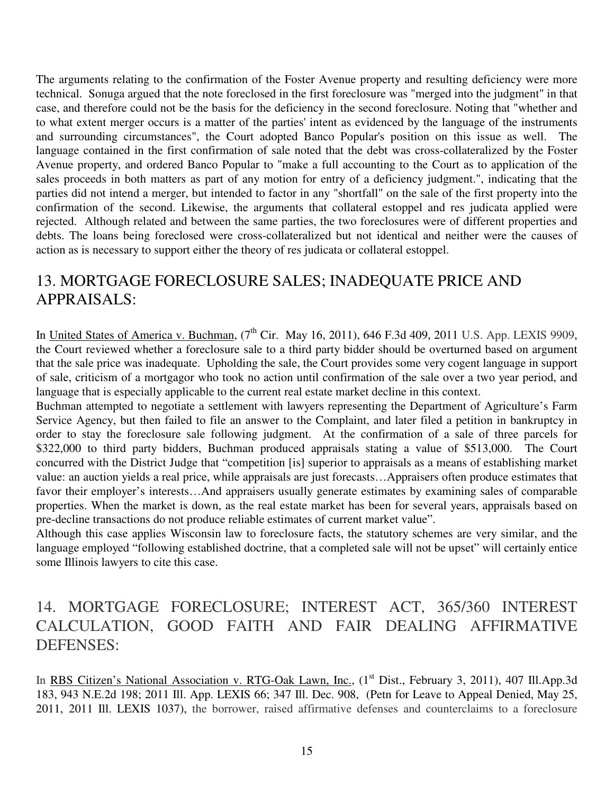The arguments relating to the confirmation of the Foster Avenue property and resulting deficiency were more technical. Sonuga argued that the note foreclosed in the first foreclosure was "merged into the judgment" in that case, and therefore could not be the basis for the deficiency in the second foreclosure. Noting that "whether and to what extent merger occurs is a matter of the parties' intent as evidenced by the language of the instruments and surrounding circumstances", the Court adopted Banco Popular's position on this issue as well. The language contained in the first confirmation of sale noted that the debt was cross-collateralized by the Foster Avenue property, and ordered Banco Popular to "make a full accounting to the Court as to application of the sales proceeds in both matters as part of any motion for entry of a deficiency judgment.", indicating that the parties did not intend a merger, but intended to factor in any "shortfall" on the sale of the first property into the confirmation of the second. Likewise, the arguments that collateral estoppel and res judicata applied were rejected. Although related and between the same parties, the two foreclosures were of different properties and debts. The loans being foreclosed were cross-collateralized but not identical and neither were the causes of action as is necessary to support either the theory of res judicata or collateral estoppel.

## 13. MORTGAGE FORECLOSURE SALES; INADEQUATE PRICE AND APPRAISALS:

In United States of America v. Buchman, (7<sup>th</sup> Cir. May 16, 2011), 646 F.3d 409, 2011 U.S. App. LEXIS 9909, the Court reviewed whether a foreclosure sale to a third party bidder should be overturned based on argument that the sale price was inadequate. Upholding the sale, the Court provides some very cogent language in support of sale, criticism of a mortgagor who took no action until confirmation of the sale over a two year period, and language that is especially applicable to the current real estate market decline in this context.

Buchman attempted to negotiate a settlement with lawyers representing the Department of Agriculture's Farm Service Agency, but then failed to file an answer to the Complaint, and later filed a petition in bankruptcy in order to stay the foreclosure sale following judgment. At the confirmation of a sale of three parcels for \$322,000 to third party bidders, Buchman produced appraisals stating a value of \$513,000. The Court concurred with the District Judge that "competition [is] superior to appraisals as a means of establishing market value: an auction yields a real price, while appraisals are just forecasts…Appraisers often produce estimates that favor their employer's interests…And appraisers usually generate estimates by examining sales of comparable properties. When the market is down, as the real estate market has been for several years, appraisals based on pre-decline transactions do not produce reliable estimates of current market value".

Although this case applies Wisconsin law to foreclosure facts, the statutory schemes are very similar, and the language employed "following established doctrine, that a completed sale will not be upset" will certainly entice some Illinois lawyers to cite this case.

# 14. MORTGAGE FORECLOSURE; INTEREST ACT, 365/360 INTEREST CALCULATION, GOOD FAITH AND FAIR DEALING AFFIRMATIVE DEFENSES:

In RBS Citizen's National Association v. RTG-Oak Lawn, Inc., (1<sup>st</sup> Dist., February 3, 2011), 407 Ill.App.3d 183, 943 N.E.2d 198; 2011 Ill. App. LEXIS 66; 347 Ill. Dec. 908, (Petn for Leave to Appeal Denied, May 25, 2011, 2011 Ill. LEXIS 1037), the borrower, raised affirmative defenses and counterclaims to a foreclosure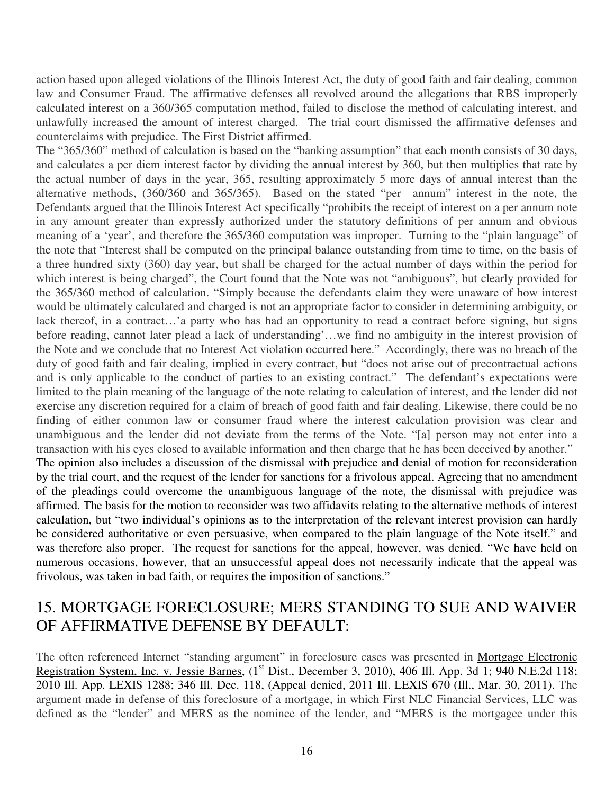action based upon alleged violations of the Illinois Interest Act, the duty of good faith and fair dealing, common law and Consumer Fraud. The affirmative defenses all revolved around the allegations that RBS improperly calculated interest on a 360/365 computation method, failed to disclose the method of calculating interest, and unlawfully increased the amount of interest charged. The trial court dismissed the affirmative defenses and counterclaims with prejudice. The First District affirmed.

The "365/360" method of calculation is based on the "banking assumption" that each month consists of 30 days, and calculates a per diem interest factor by dividing the annual interest by 360, but then multiplies that rate by the actual number of days in the year, 365, resulting approximately 5 more days of annual interest than the alternative methods, (360/360 and 365/365). Based on the stated "per annum" interest in the note, the Defendants argued that the Illinois Interest Act specifically "prohibits the receipt of interest on a per annum note in any amount greater than expressly authorized under the statutory definitions of per annum and obvious meaning of a 'year', and therefore the 365/360 computation was improper. Turning to the "plain language" of the note that "Interest shall be computed on the principal balance outstanding from time to time, on the basis of a three hundred sixty (360) day year, but shall be charged for the actual number of days within the period for which interest is being charged", the Court found that the Note was not "ambiguous", but clearly provided for the 365/360 method of calculation. "Simply because the defendants claim they were unaware of how interest would be ultimately calculated and charged is not an appropriate factor to consider in determining ambiguity, or lack thereof, in a contract…'a party who has had an opportunity to read a contract before signing, but signs before reading, cannot later plead a lack of understanding'…we find no ambiguity in the interest provision of the Note and we conclude that no Interest Act violation occurred here." Accordingly, there was no breach of the duty of good faith and fair dealing, implied in every contract, but "does not arise out of precontractual actions and is only applicable to the conduct of parties to an existing contract." The defendant's expectations were limited to the plain meaning of the language of the note relating to calculation of interest, and the lender did not exercise any discretion required for a claim of breach of good faith and fair dealing. Likewise, there could be no finding of either common law or consumer fraud where the interest calculation provision was clear and unambiguous and the lender did not deviate from the terms of the Note. "[a] person may not enter into a transaction with his eyes closed to available information and then charge that he has been deceived by another." The opinion also includes a discussion of the dismissal with prejudice and denial of motion for reconsideration by the trial court, and the request of the lender for sanctions for a frivolous appeal. Agreeing that no amendment of the pleadings could overcome the unambiguous language of the note, the dismissal with prejudice was affirmed. The basis for the motion to reconsider was two affidavits relating to the alternative methods of interest calculation, but "two individual's opinions as to the interpretation of the relevant interest provision can hardly be considered authoritative or even persuasive, when compared to the plain language of the Note itself." and

was therefore also proper. The request for sanctions for the appeal, however, was denied. "We have held on numerous occasions, however, that an unsuccessful appeal does not necessarily indicate that the appeal was frivolous, was taken in bad faith, or requires the imposition of sanctions."

#### 15. MORTGAGE FORECLOSURE; MERS STANDING TO SUE AND WAIVER OF AFFIRMATIVE DEFENSE BY DEFAULT:

The often referenced Internet "standing argument" in foreclosure cases was presented in Mortgage Electronic Registration System, Inc. v. Jessie Barnes, (1<sup>st</sup> Dist., December 3, 2010), 406 Ill. App. 3d 1; 940 N.E.2d 118; 2010 Ill. App. LEXIS 1288; 346 Ill. Dec. 118, (Appeal denied, 2011 Ill. LEXIS 670 (Ill., Mar. 30, 2011). The argument made in defense of this foreclosure of a mortgage, in which First NLC Financial Services, LLC was defined as the "lender" and MERS as the nominee of the lender, and "MERS is the mortgagee under this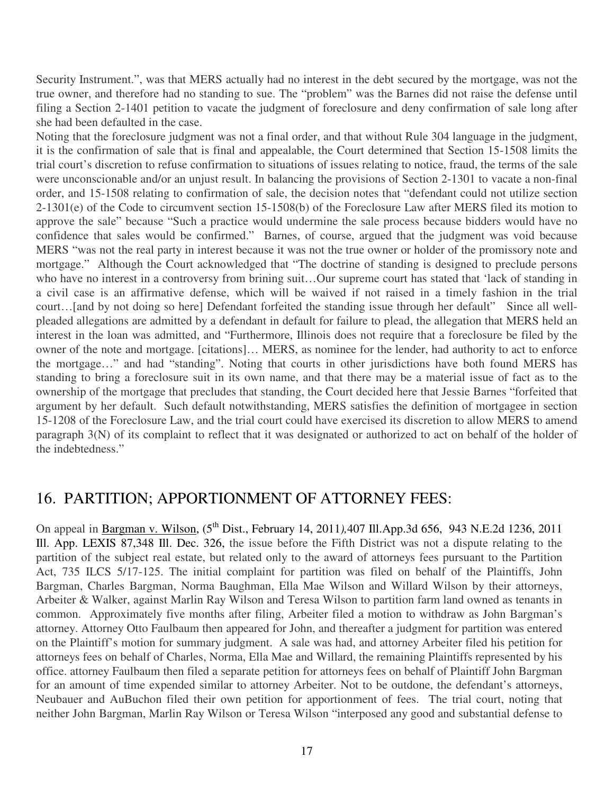Security Instrument.", was that MERS actually had no interest in the debt secured by the mortgage, was not the true owner, and therefore had no standing to sue. The "problem" was the Barnes did not raise the defense until filing a Section 2-1401 petition to vacate the judgment of foreclosure and deny confirmation of sale long after she had been defaulted in the case.

Noting that the foreclosure judgment was not a final order, and that without Rule 304 language in the judgment, it is the confirmation of sale that is final and appealable, the Court determined that Section 15-1508 limits the trial court's discretion to refuse confirmation to situations of issues relating to notice, fraud, the terms of the sale were unconscionable and/or an unjust result. In balancing the provisions of Section 2-1301 to vacate a non-final order, and 15-1508 relating to confirmation of sale, the decision notes that "defendant could not utilize section 2-1301(e) of the Code to circumvent section 15-1508(b) of the Foreclosure Law after MERS filed its motion to approve the sale" because "Such a practice would undermine the sale process because bidders would have no confidence that sales would be confirmed." Barnes, of course, argued that the judgment was void because MERS "was not the real party in interest because it was not the true owner or holder of the promissory note and mortgage." Although the Court acknowledged that "The doctrine of standing is designed to preclude persons who have no interest in a controversy from brining suit...Our supreme court has stated that 'lack of standing in a civil case is an affirmative defense, which will be waived if not raised in a timely fashion in the trial court…[and by not doing so here] Defendant forfeited the standing issue through her default" Since all wellpleaded allegations are admitted by a defendant in default for failure to plead, the allegation that MERS held an interest in the loan was admitted, and "Furthermore, Illinois does not require that a foreclosure be filed by the owner of the note and mortgage. [citations]… MERS, as nominee for the lender, had authority to act to enforce the mortgage…" and had "standing". Noting that courts in other jurisdictions have both found MERS has standing to bring a foreclosure suit in its own name, and that there may be a material issue of fact as to the ownership of the mortgage that precludes that standing, the Court decided here that Jessie Barnes "forfeited that argument by her default. Such default notwithstanding, MERS satisfies the definition of mortgagee in section 15-1208 of the Foreclosure Law, and the trial court could have exercised its discretion to allow MERS to amend paragraph 3(N) of its complaint to reflect that it was designated or authorized to act on behalf of the holder of the indebtedness."

#### 16. PARTITION; APPORTIONMENT OF ATTORNEY FEES:

On appeal in Bargman v. Wilson, (5<sup>th</sup> Dist., February 14, 2011), 407 Ill.App.3d 656, 943 N.E.2d 1236, 2011 Ill. App. LEXIS 87,348 Ill. Dec. 326, the issue before the Fifth District was not a dispute relating to the partition of the subject real estate, but related only to the award of attorneys fees pursuant to the Partition Act, 735 ILCS 5/17-125. The initial complaint for partition was filed on behalf of the Plaintiffs, John Bargman, Charles Bargman, Norma Baughman, Ella Mae Wilson and Willard Wilson by their attorneys, Arbeiter & Walker, against Marlin Ray Wilson and Teresa Wilson to partition farm land owned as tenants in common. Approximately five months after filing, Arbeiter filed a motion to withdraw as John Bargman's attorney. Attorney Otto Faulbaum then appeared for John, and thereafter a judgment for partition was entered on the Plaintiff's motion for summary judgment. A sale was had, and attorney Arbeiter filed his petition for attorneys fees on behalf of Charles, Norma, Ella Mae and Willard, the remaining Plaintiffs represented by his office. attorney Faulbaum then filed a separate petition for attorneys fees on behalf of Plaintiff John Bargman for an amount of time expended similar to attorney Arbeiter. Not to be outdone, the defendant's attorneys, Neubauer and AuBuchon filed their own petition for apportionment of fees. The trial court, noting that neither John Bargman, Marlin Ray Wilson or Teresa Wilson "interposed any good and substantial defense to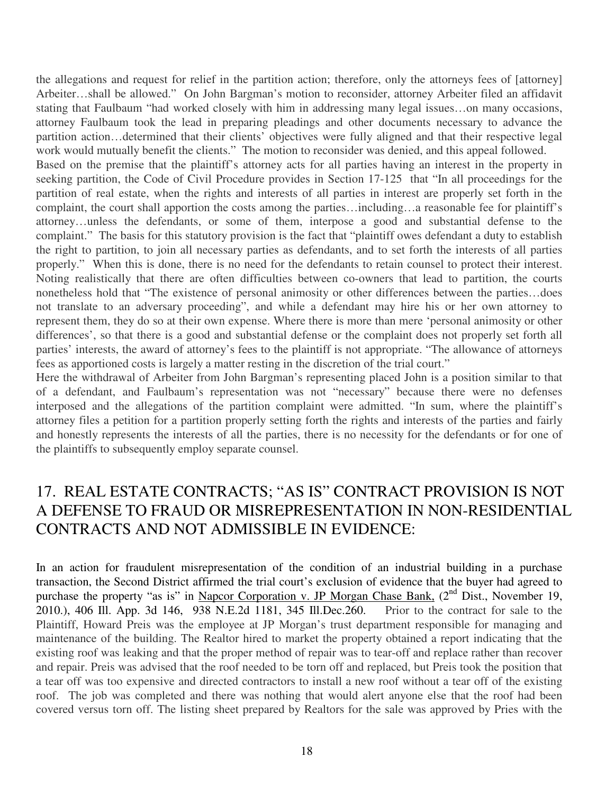the allegations and request for relief in the partition action; therefore, only the attorneys fees of [attorney] Arbeiter…shall be allowed." On John Bargman's motion to reconsider, attorney Arbeiter filed an affidavit stating that Faulbaum "had worked closely with him in addressing many legal issues…on many occasions, attorney Faulbaum took the lead in preparing pleadings and other documents necessary to advance the partition action…determined that their clients' objectives were fully aligned and that their respective legal work would mutually benefit the clients." The motion to reconsider was denied, and this appeal followed.

Based on the premise that the plaintiff's attorney acts for all parties having an interest in the property in seeking partition, the Code of Civil Procedure provides in Section 17-125 that "In all proceedings for the partition of real estate, when the rights and interests of all parties in interest are properly set forth in the complaint, the court shall apportion the costs among the parties…including…a reasonable fee for plaintiff's attorney…unless the defendants, or some of them, interpose a good and substantial defense to the complaint." The basis for this statutory provision is the fact that "plaintiff owes defendant a duty to establish the right to partition, to join all necessary parties as defendants, and to set forth the interests of all parties properly." When this is done, there is no need for the defendants to retain counsel to protect their interest. Noting realistically that there are often difficulties between co-owners that lead to partition, the courts nonetheless hold that "The existence of personal animosity or other differences between the parties…does not translate to an adversary proceeding", and while a defendant may hire his or her own attorney to represent them, they do so at their own expense. Where there is more than mere 'personal animosity or other differences', so that there is a good and substantial defense or the complaint does not properly set forth all parties' interests, the award of attorney's fees to the plaintiff is not appropriate. "The allowance of attorneys fees as apportioned costs is largely a matter resting in the discretion of the trial court."

Here the withdrawal of Arbeiter from John Bargman's representing placed John is a position similar to that of a defendant, and Faulbaum's representation was not "necessary" because there were no defenses interposed and the allegations of the partition complaint were admitted. "In sum, where the plaintiff's attorney files a petition for a partition properly setting forth the rights and interests of the parties and fairly and honestly represents the interests of all the parties, there is no necessity for the defendants or for one of the plaintiffs to subsequently employ separate counsel.

#### 17. REAL ESTATE CONTRACTS; "AS IS" CONTRACT PROVISION IS NOT A DEFENSE TO FRAUD OR MISREPRESENTATION IN NON-RESIDENTIAL CONTRACTS AND NOT ADMISSIBLE IN EVIDENCE:

In an action for fraudulent misrepresentation of the condition of an industrial building in a purchase transaction, the Second District affirmed the trial court's exclusion of evidence that the buyer had agreed to purchase the property "as is" in Napcor Corporation v. JP Morgan Chase Bank,  $(2<sup>nd</sup> Dist.$ , November 19, 2010.), 406 Ill. App. 3d 146, 938 N.E.2d 1181, 345 Ill.Dec.260. Prior to the contract for sale to the Plaintiff, Howard Preis was the employee at JP Morgan's trust department responsible for managing and maintenance of the building. The Realtor hired to market the property obtained a report indicating that the existing roof was leaking and that the proper method of repair was to tear-off and replace rather than recover and repair. Preis was advised that the roof needed to be torn off and replaced, but Preis took the position that a tear off was too expensive and directed contractors to install a new roof without a tear off of the existing roof. The job was completed and there was nothing that would alert anyone else that the roof had been covered versus torn off. The listing sheet prepared by Realtors for the sale was approved by Pries with the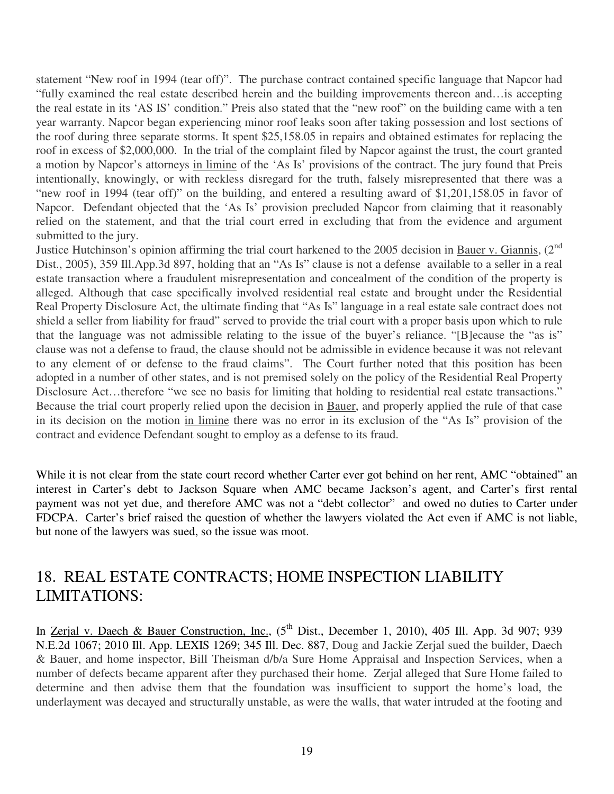statement "New roof in 1994 (tear off)". The purchase contract contained specific language that Napcor had "fully examined the real estate described herein and the building improvements thereon and…is accepting the real estate in its 'AS IS' condition." Preis also stated that the "new roof" on the building came with a ten year warranty. Napcor began experiencing minor roof leaks soon after taking possession and lost sections of the roof during three separate storms. It spent \$25,158.05 in repairs and obtained estimates for replacing the roof in excess of \$2,000,000. In the trial of the complaint filed by Napcor against the trust, the court granted a motion by Napcor's attorneys in limine of the 'As Is' provisions of the contract. The jury found that Preis intentionally, knowingly, or with reckless disregard for the truth, falsely misrepresented that there was a "new roof in 1994 (tear off)" on the building, and entered a resulting award of \$1,201,158.05 in favor of Napcor. Defendant objected that the 'As Is' provision precluded Napcor from claiming that it reasonably relied on the statement, and that the trial court erred in excluding that from the evidence and argument submitted to the jury.

Justice Hutchinson's opinion affirming the trial court harkened to the 2005 decision in Bauer v. Giannis, (2<sup>nd</sup>) Dist., 2005), 359 Ill.App.3d 897, holding that an "As Is" clause is not a defense available to a seller in a real estate transaction where a fraudulent misrepresentation and concealment of the condition of the property is alleged. Although that case specifically involved residential real estate and brought under the Residential Real Property Disclosure Act, the ultimate finding that "As Is" language in a real estate sale contract does not shield a seller from liability for fraud" served to provide the trial court with a proper basis upon which to rule that the language was not admissible relating to the issue of the buyer's reliance. "[B]ecause the "as is" clause was not a defense to fraud, the clause should not be admissible in evidence because it was not relevant to any element of or defense to the fraud claims". The Court further noted that this position has been adopted in a number of other states, and is not premised solely on the policy of the Residential Real Property Disclosure Act...therefore "we see no basis for limiting that holding to residential real estate transactions." Because the trial court properly relied upon the decision in Bauer, and properly applied the rule of that case in its decision on the motion in limine there was no error in its exclusion of the "As Is" provision of the contract and evidence Defendant sought to employ as a defense to its fraud.

While it is not clear from the state court record whether Carter ever got behind on her rent, AMC "obtained" an interest in Carter's debt to Jackson Square when AMC became Jackson's agent, and Carter's first rental payment was not yet due, and therefore AMC was not a "debt collector" and owed no duties to Carter under FDCPA. Carter's brief raised the question of whether the lawyers violated the Act even if AMC is not liable, but none of the lawyers was sued, so the issue was moot.

#### 18. REAL ESTATE CONTRACTS; HOME INSPECTION LIABILITY LIMITATIONS:

In Zerjal v. Daech & Bauer Construction, Inc.,  $(5^{th}$  Dist., December 1, 2010), 405 Ill. App. 3d 907; 939 N.E.2d 1067; 2010 Ill. App. LEXIS 1269; 345 Ill. Dec. 887, Doug and Jackie Zerjal sued the builder, Daech & Bauer, and home inspector, Bill Theisman d/b/a Sure Home Appraisal and Inspection Services, when a number of defects became apparent after they purchased their home. Zerjal alleged that Sure Home failed to determine and then advise them that the foundation was insufficient to support the home's load, the underlayment was decayed and structurally unstable, as were the walls, that water intruded at the footing and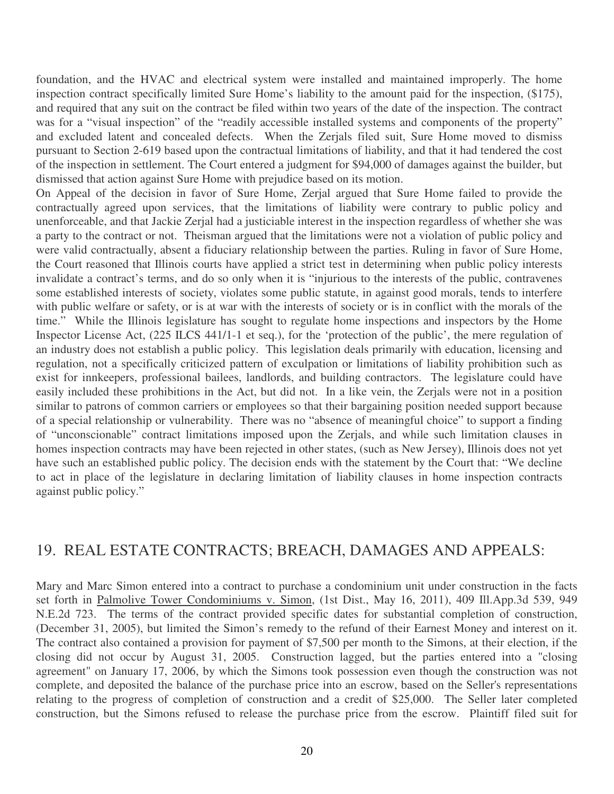foundation, and the HVAC and electrical system were installed and maintained improperly. The home inspection contract specifically limited Sure Home's liability to the amount paid for the inspection, (\$175), and required that any suit on the contract be filed within two years of the date of the inspection. The contract was for a "visual inspection" of the "readily accessible installed systems and components of the property" and excluded latent and concealed defects. When the Zerjals filed suit, Sure Home moved to dismiss pursuant to Section 2-619 based upon the contractual limitations of liability, and that it had tendered the cost of the inspection in settlement. The Court entered a judgment for \$94,000 of damages against the builder, but dismissed that action against Sure Home with prejudice based on its motion.

On Appeal of the decision in favor of Sure Home, Zerjal argued that Sure Home failed to provide the contractually agreed upon services, that the limitations of liability were contrary to public policy and unenforceable, and that Jackie Zerjal had a justiciable interest in the inspection regardless of whether she was a party to the contract or not. Theisman argued that the limitations were not a violation of public policy and were valid contractually, absent a fiduciary relationship between the parties. Ruling in favor of Sure Home, the Court reasoned that Illinois courts have applied a strict test in determining when public policy interests invalidate a contract's terms, and do so only when it is "injurious to the interests of the public, contravenes some established interests of society, violates some public statute, in against good morals, tends to interfere with public welfare or safety, or is at war with the interests of society or is in conflict with the morals of the time." While the Illinois legislature has sought to regulate home inspections and inspectors by the Home Inspector License Act, (225 ILCS 441/1-1 et seq.), for the 'protection of the public', the mere regulation of an industry does not establish a public policy. This legislation deals primarily with education, licensing and regulation, not a specifically criticized pattern of exculpation or limitations of liability prohibition such as exist for innkeepers, professional bailees, landlords, and building contractors. The legislature could have easily included these prohibitions in the Act, but did not. In a like vein, the Zerjals were not in a position similar to patrons of common carriers or employees so that their bargaining position needed support because of a special relationship or vulnerability. There was no "absence of meaningful choice" to support a finding of "unconscionable" contract limitations imposed upon the Zerjals, and while such limitation clauses in homes inspection contracts may have been rejected in other states, (such as New Jersey), Illinois does not yet have such an established public policy. The decision ends with the statement by the Court that: "We decline to act in place of the legislature in declaring limitation of liability clauses in home inspection contracts against public policy."

#### 19. REAL ESTATE CONTRACTS; BREACH, DAMAGES AND APPEALS:

Mary and Marc Simon entered into a contract to purchase a condominium unit under construction in the facts set forth in Palmolive Tower Condominiums v. Simon, (1st Dist., May 16, 2011), 409 Ill.App.3d 539, 949 N.E.2d 723. The terms of the contract provided specific dates for substantial completion of construction, (December 31, 2005), but limited the Simon's remedy to the refund of their Earnest Money and interest on it. The contract also contained a provision for payment of \$7,500 per month to the Simons, at their election, if the closing did not occur by August 31, 2005. Construction lagged, but the parties entered into a "closing agreement" on January 17, 2006, by which the Simons took possession even though the construction was not complete, and deposited the balance of the purchase price into an escrow, based on the Seller's representations relating to the progress of completion of construction and a credit of \$25,000. The Seller later completed construction, but the Simons refused to release the purchase price from the escrow. Plaintiff filed suit for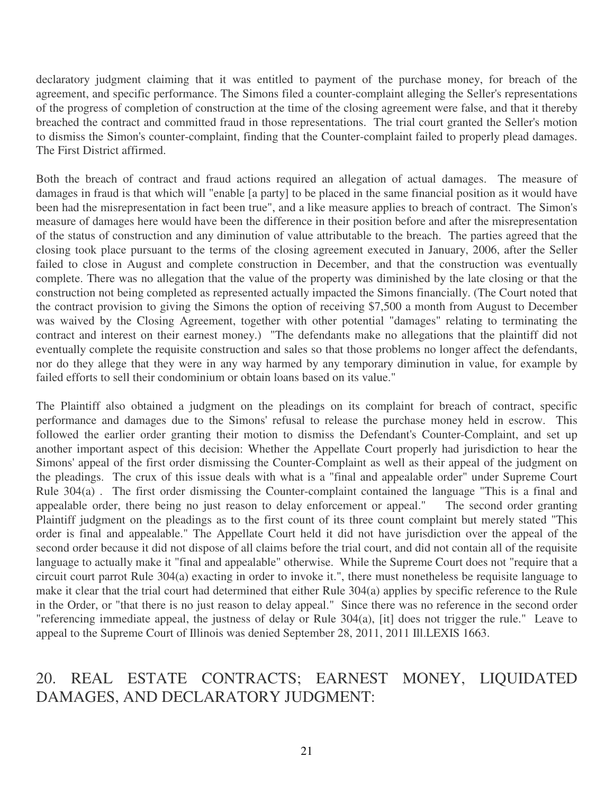declaratory judgment claiming that it was entitled to payment of the purchase money, for breach of the agreement, and specific performance. The Simons filed a counter-complaint alleging the Seller's representations of the progress of completion of construction at the time of the closing agreement were false, and that it thereby breached the contract and committed fraud in those representations. The trial court granted the Seller's motion to dismiss the Simon's counter-complaint, finding that the Counter-complaint failed to properly plead damages. The First District affirmed.

Both the breach of contract and fraud actions required an allegation of actual damages. The measure of damages in fraud is that which will "enable [a party] to be placed in the same financial position as it would have been had the misrepresentation in fact been true", and a like measure applies to breach of contract. The Simon's measure of damages here would have been the difference in their position before and after the misrepresentation of the status of construction and any diminution of value attributable to the breach. The parties agreed that the closing took place pursuant to the terms of the closing agreement executed in January, 2006, after the Seller failed to close in August and complete construction in December, and that the construction was eventually complete. There was no allegation that the value of the property was diminished by the late closing or that the construction not being completed as represented actually impacted the Simons financially. (The Court noted that the contract provision to giving the Simons the option of receiving \$7,500 a month from August to December was waived by the Closing Agreement, together with other potential "damages" relating to terminating the contract and interest on their earnest money.) "The defendants make no allegations that the plaintiff did not eventually complete the requisite construction and sales so that those problems no longer affect the defendants, nor do they allege that they were in any way harmed by any temporary diminution in value, for example by failed efforts to sell their condominium or obtain loans based on its value."

The Plaintiff also obtained a judgment on the pleadings on its complaint for breach of contract, specific performance and damages due to the Simons' refusal to release the purchase money held in escrow. This followed the earlier order granting their motion to dismiss the Defendant's Counter-Complaint, and set up another important aspect of this decision: Whether the Appellate Court properly had jurisdiction to hear the Simons' appeal of the first order dismissing the Counter-Complaint as well as their appeal of the judgment on the pleadings. The crux of this issue deals with what is a "final and appealable order" under Supreme Court Rule 304(a) . The first order dismissing the Counter-complaint contained the language "This is a final and appealable order, there being no just reason to delay enforcement or appeal." The second order granting Plaintiff judgment on the pleadings as to the first count of its three count complaint but merely stated "This order is final and appealable." The Appellate Court held it did not have jurisdiction over the appeal of the second order because it did not dispose of all claims before the trial court, and did not contain all of the requisite language to actually make it "final and appealable" otherwise. While the Supreme Court does not "require that a circuit court parrot Rule 304(a) exacting in order to invoke it.", there must nonetheless be requisite language to make it clear that the trial court had determined that either Rule 304(a) applies by specific reference to the Rule in the Order, or "that there is no just reason to delay appeal." Since there was no reference in the second order "referencing immediate appeal, the justness of delay or Rule 304(a), [it] does not trigger the rule." Leave to appeal to the Supreme Court of Illinois was denied September 28, 2011, 2011 Ill.LEXIS 1663.

#### 20. REAL ESTATE CONTRACTS; EARNEST MONEY, LIQUIDATED DAMAGES, AND DECLARATORY JUDGMENT: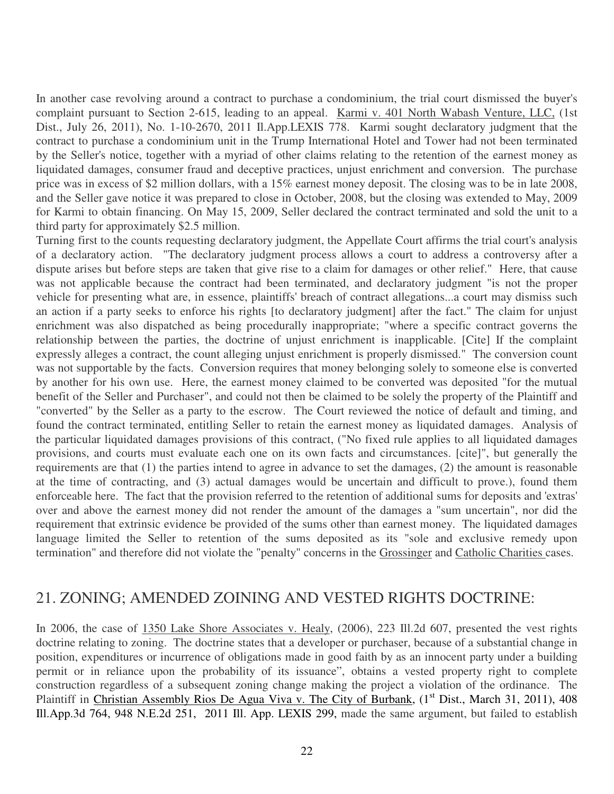In another case revolving around a contract to purchase a condominium, the trial court dismissed the buyer's complaint pursuant to Section 2-615, leading to an appeal. Karmi v. 401 North Wabash Venture, LLC, (1st Dist., July 26, 2011), No. 1-10-2670, 2011 Il.App.LEXIS 778. Karmi sought declaratory judgment that the contract to purchase a condominium unit in the Trump International Hotel and Tower had not been terminated by the Seller's notice, together with a myriad of other claims relating to the retention of the earnest money as liquidated damages, consumer fraud and deceptive practices, unjust enrichment and conversion. The purchase price was in excess of \$2 million dollars, with a 15% earnest money deposit. The closing was to be in late 2008, and the Seller gave notice it was prepared to close in October, 2008, but the closing was extended to May, 2009 for Karmi to obtain financing. On May 15, 2009, Seller declared the contract terminated and sold the unit to a third party for approximately \$2.5 million.

Turning first to the counts requesting declaratory judgment, the Appellate Court affirms the trial court's analysis of a declaratory action. "The declaratory judgment process allows a court to address a controversy after a dispute arises but before steps are taken that give rise to a claim for damages or other relief." Here, that cause was not applicable because the contract had been terminated, and declaratory judgment "is not the proper vehicle for presenting what are, in essence, plaintiffs' breach of contract allegations...a court may dismiss such an action if a party seeks to enforce his rights [to declaratory judgment] after the fact." The claim for unjust enrichment was also dispatched as being procedurally inappropriate; "where a specific contract governs the relationship between the parties, the doctrine of unjust enrichment is inapplicable. [Cite] If the complaint expressly alleges a contract, the count alleging unjust enrichment is properly dismissed." The conversion count was not supportable by the facts. Conversion requires that money belonging solely to someone else is converted by another for his own use. Here, the earnest money claimed to be converted was deposited "for the mutual benefit of the Seller and Purchaser", and could not then be claimed to be solely the property of the Plaintiff and "converted" by the Seller as a party to the escrow. The Court reviewed the notice of default and timing, and found the contract terminated, entitling Seller to retain the earnest money as liquidated damages. Analysis of the particular liquidated damages provisions of this contract, ("No fixed rule applies to all liquidated damages provisions, and courts must evaluate each one on its own facts and circumstances. [cite]", but generally the requirements are that (1) the parties intend to agree in advance to set the damages, (2) the amount is reasonable at the time of contracting, and (3) actual damages would be uncertain and difficult to prove.), found them enforceable here. The fact that the provision referred to the retention of additional sums for deposits and 'extras' over and above the earnest money did not render the amount of the damages a "sum uncertain", nor did the requirement that extrinsic evidence be provided of the sums other than earnest money. The liquidated damages language limited the Seller to retention of the sums deposited as its "sole and exclusive remedy upon termination" and therefore did not violate the "penalty" concerns in the Grossinger and Catholic Charities cases.

#### 21. ZONING; AMENDED ZOINING AND VESTED RIGHTS DOCTRINE:

In 2006, the case of 1350 Lake Shore Associates v. Healy, (2006), 223 Ill.2d 607, presented the vest rights doctrine relating to zoning. The doctrine states that a developer or purchaser, because of a substantial change in position, expenditures or incurrence of obligations made in good faith by as an innocent party under a building permit or in reliance upon the probability of its issuance", obtains a vested property right to complete construction regardless of a subsequent zoning change making the project a violation of the ordinance. The Plaintiff in Christian Assembly Rios De Agua Viva v. The City of Burbank, (1<sup>st</sup> Dist., March 31, 2011), 408 Ill.App.3d 764, 948 N.E.2d 251, 2011 Ill. App. LEXIS 299, made the same argument, but failed to establish